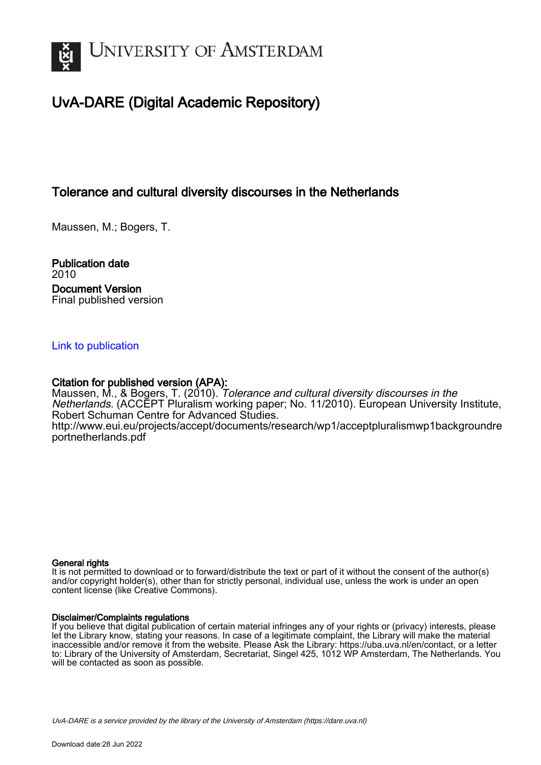

# UvA-DARE (Digital Academic Repository)

# Tolerance and cultural diversity discourses in the Netherlands

Maussen, M.; Bogers, T.

Publication date 2010 Document Version Final published version

# [Link to publication](https://dare.uva.nl/personal/pure/en/publications/tolerance-and-cultural-diversity-discourses-in-the-netherlands(1e60d2cd-8d28-4c1b-b0d0-67381743f9b0).html)

# Citation for published version (APA):

Maussen, M., & Bogers, T. (2010). Tolerance and cultural diversity discourses in the Netherlands. (ACCEPT Pluralism working paper; No. 11/2010). European University Institute, Robert Schuman Centre for Advanced Studies. [http://www.eui.eu/projects/accept/documents/research/wp1/acceptpluralismwp1backgroundre](http://www.eui.eu/projects/accept/documents/research/wp1/acceptpluralismwp1backgroundreportnetherlands.pdf) [portnetherlands.pdf](http://www.eui.eu/projects/accept/documents/research/wp1/acceptpluralismwp1backgroundreportnetherlands.pdf)

#### General rights

It is not permitted to download or to forward/distribute the text or part of it without the consent of the author(s) and/or copyright holder(s), other than for strictly personal, individual use, unless the work is under an open content license (like Creative Commons).

#### Disclaimer/Complaints regulations

If you believe that digital publication of certain material infringes any of your rights or (privacy) interests, please let the Library know, stating your reasons. In case of a legitimate complaint, the Library will make the material inaccessible and/or remove it from the website. Please Ask the Library: https://uba.uva.nl/en/contact, or a letter to: Library of the University of Amsterdam, Secretariat, Singel 425, 1012 WP Amsterdam, The Netherlands. You will be contacted as soon as possible.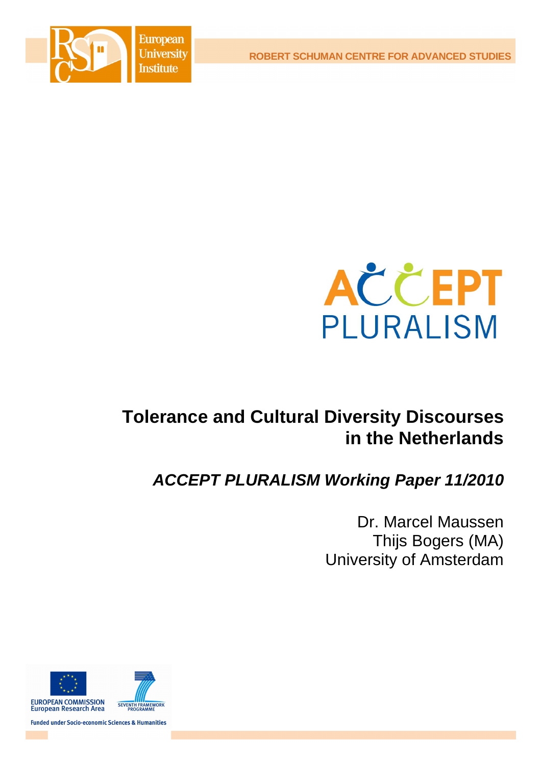**European University Institute** 

**ROBERT SCHUMAN CENTRE FOR ADVANCED STUDIES**





# **Tolerance and Cultural Diversity Discourses in the Netherlands**

# *ACCEPT PLURALISM Working Paper 11/2010*

Dr. Marcel Maussen Thijs Bogers (MA) University of Amsterdam



**Funded under Socio-economic Sciences & Humanities**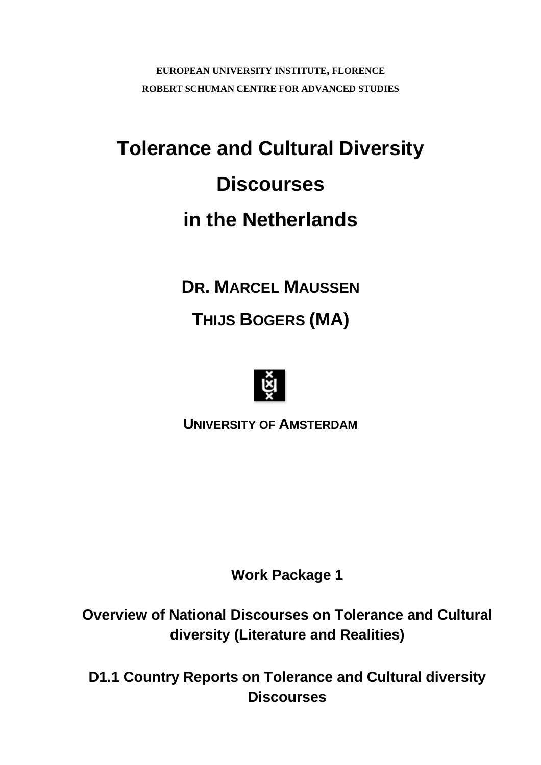**EUROPEAN UNIVERSITY INSTITUTE, FLORENCE ROBERT SCHUMAN CENTRE FOR ADVANCED STUDIES**

# **Tolerance and Cultural Diversity Discourses in the Netherlands**

**DR. MARCEL MAUSSEN THIJS BOGERS (MA)**



**UNIVERSITY OF AMSTERDAM**

**Work Package 1**

**Overview of National Discourses on Tolerance and Cultural diversity (Literature and Realities)**

**D1.1 Country Reports on Tolerance and Cultural diversity Discourses**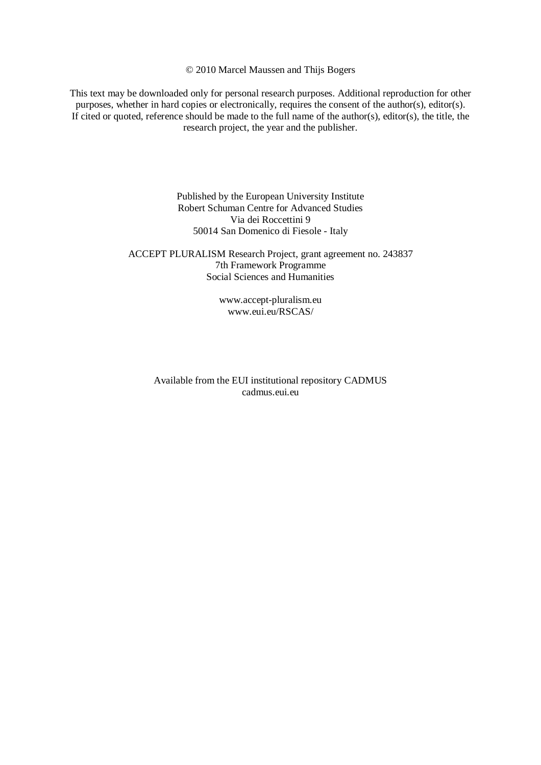© 2010 Marcel Maussen and Thijs Bogers

This text may be downloaded only for personal research purposes. Additional reproduction for other purposes, whether in hard copies or electronically, requires the consent of the author(s), editor(s). If cited or quoted, reference should be made to the full name of the author(s), editor(s), the title, the research project, the year and the publisher.

> Published by the European University Institute Robert Schuman Centre for Advanced Studies Via dei Roccettini 9 50014 San Domenico di Fiesole - Italy

# ACCEPT PLURALISM Research Project, grant agreement no. 243837 7th Framework Programme Social Sciences and Humanities

www.accept-pluralism.eu www.eui.eu/RSCAS/

Available from the EUI institutional repository CADMUS cadmus.eui.eu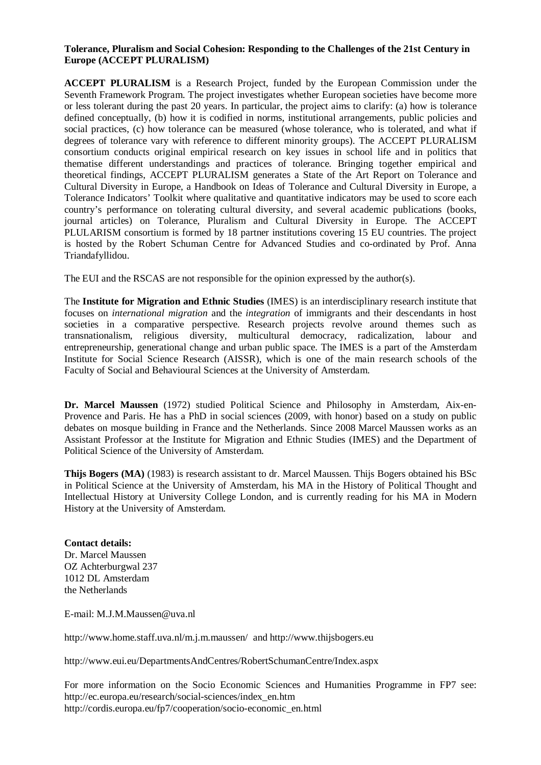# **Tolerance, Pluralism and Social Cohesion: Responding to the Challenges of the 21st Century in Europe (ACCEPT PLURALISM)**

**ACCEPT PLURALISM** is a Research Project, funded by the European Commission under the Seventh Framework Program. The project investigates whether European societies have become more or less tolerant during the past 20 years. In particular, the project aims to clarify: (a) how is tolerance defined conceptually, (b) how it is codified in norms, institutional arrangements, public policies and social practices, (c) how tolerance can be measured (whose tolerance, who is tolerated, and what if degrees of tolerance vary with reference to different minority groups). The ACCEPT PLURALISM consortium conducts original empirical research on key issues in school life and in politics that thematise different understandings and practices of tolerance. Bringing together empirical and theoretical findings, ACCEPT PLURALISM generates a State of the Art Report on Tolerance and Cultural Diversity in Europe, a Handbook on Ideas of Tolerance and Cultural Diversity in Europe, a Tolerance Indicators' Toolkit where qualitative and quantitative indicators may be used to score each country's performance on tolerating cultural diversity, and several academic publications (books, journal articles) on Tolerance, Pluralism and Cultural Diversity in Europe. The ACCEPT PLULARISM consortium is formed by 18 partner institutions covering 15 EU countries. The project is hosted by the Robert Schuman Centre for Advanced Studies and co-ordinated by Prof. Anna Triandafyllidou.

The EUI and the RSCAS are not responsible for the opinion expressed by the author(s).

The **Institute for Migration and Ethnic Studies** (IMES) is an interdisciplinary research institute that focuses on *international migration* and the *integration* of immigrants and their descendants in host societies in a comparative perspective. Research projects revolve around themes such as transnationalism, religious diversity, multicultural democracy, radicalization, labour and entrepreneurship, generational change and urban public space. The IMES is a part of the Amsterdam Institute for Social Science Research (AISSR), which is one of the main research schools of the Faculty of Social and Behavioural Sciences at the University of Amsterdam.

**Dr. Marcel Maussen** (1972) studied Political Science and Philosophy in Amsterdam, Aix-en-Provence and Paris. He has a PhD in social sciences (2009, with honor) based on a study on public debates on mosque building in France and the Netherlands. Since 2008 Marcel Maussen works as an Assistant Professor at the Institute for Migration and Ethnic Studies (IMES) and the Department of Political Science of the University of Amsterdam.

**Thijs Bogers (MA)** (1983) is research assistant to dr. Marcel Maussen. Thijs Bogers obtained his BSc in Political Science at the University of Amsterdam, his MA in the History of Political Thought and Intellectual History at University College London, and is currently reading for his MA in Modern History at the University of Amsterdam.

# **Contact details:**

Dr. Marcel Maussen OZ Achterburgwal 237 1012 DL Amsterdam the Netherlands

E-mail: M.J.M.Maussen@uva.nl

http://www.home.staff.uva.nl/m.j.m.maussen/ and http://www.thijsbogers.eu

http://www.eui.eu/DepartmentsAndCentres/RobertSchumanCentre/Index.aspx

For more information on the Socio Economic Sciences and Humanities Programme in FP7 see: http://ec.europa.eu/research/social-sciences/index\_en.htm http://cordis.europa.eu/fp7/cooperation/socio-economic\_en.html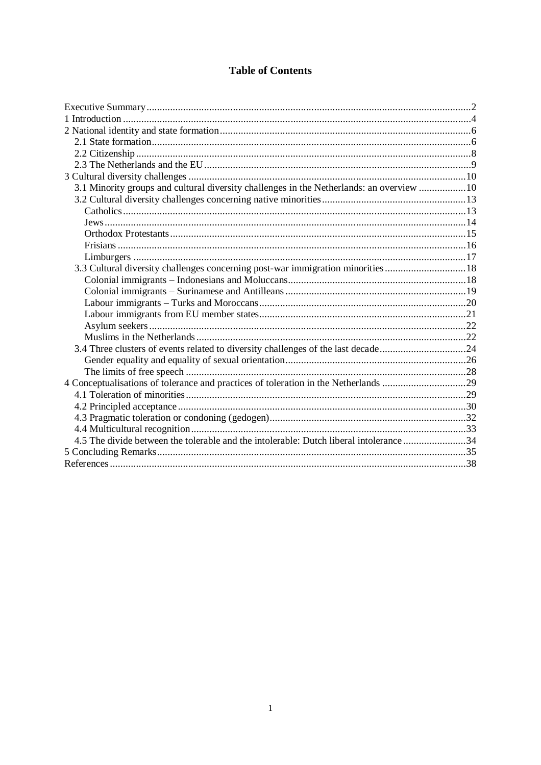# **Table of Contents**

| 3.1 Minority groups and cultural diversity challenges in the Netherlands: an overview 10 |  |
|------------------------------------------------------------------------------------------|--|
|                                                                                          |  |
|                                                                                          |  |
|                                                                                          |  |
|                                                                                          |  |
|                                                                                          |  |
|                                                                                          |  |
| 3.3 Cultural diversity challenges concerning post-war immigration minorities  18         |  |
|                                                                                          |  |
|                                                                                          |  |
|                                                                                          |  |
|                                                                                          |  |
|                                                                                          |  |
|                                                                                          |  |
| 3.4 Three clusters of events related to diversity challenges of the last decade24        |  |
|                                                                                          |  |
|                                                                                          |  |
| 4 Conceptualisations of tolerance and practices of toleration in the Netherlands 29      |  |
|                                                                                          |  |
|                                                                                          |  |
|                                                                                          |  |
|                                                                                          |  |
| 4.5 The divide between the tolerable and the intolerable: Dutch liberal intolerance 34   |  |
|                                                                                          |  |
|                                                                                          |  |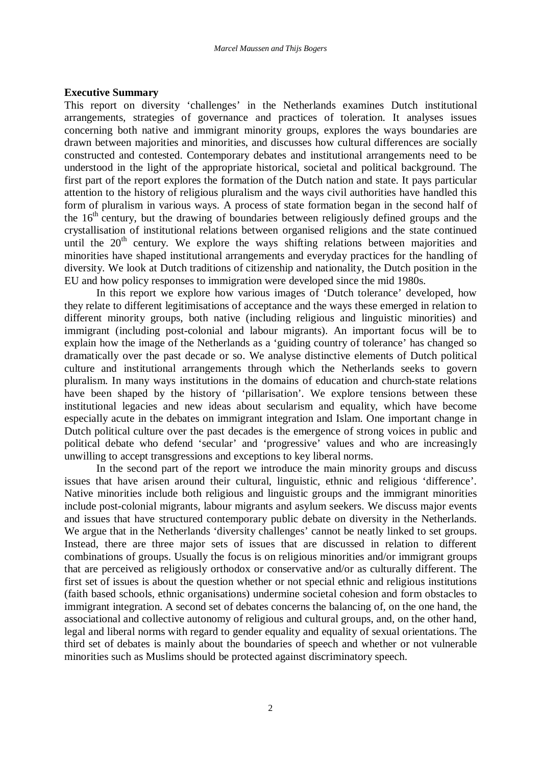#### **Executive Summary**

This report on diversity 'challenges' in the Netherlands examines Dutch institutional arrangements, strategies of governance and practices of toleration. It analyses issues concerning both native and immigrant minority groups, explores the ways boundaries are drawn between majorities and minorities, and discusses how cultural differences are socially constructed and contested. Contemporary debates and institutional arrangements need to be understood in the light of the appropriate historical, societal and political background. The first part of the report explores the formation of the Dutch nation and state. It pays particular attention to the history of religious pluralism and the ways civil authorities have handled this form of pluralism in various ways. A process of state formation began in the second half of the  $16<sup>th</sup>$  century, but the drawing of boundaries between religiously defined groups and the crystallisation of institutional relations between organised religions and the state continued until the  $20<sup>th</sup>$  century. We explore the ways shifting relations between majorities and minorities have shaped institutional arrangements and everyday practices for the handling of diversity. We look at Dutch traditions of citizenship and nationality, the Dutch position in the EU and how policy responses to immigration were developed since the mid 1980s.

In this report we explore how various images of 'Dutch tolerance' developed, how they relate to different legitimisations of acceptance and the ways these emerged in relation to different minority groups, both native (including religious and linguistic minorities) and immigrant (including post-colonial and labour migrants). An important focus will be to explain how the image of the Netherlands as a 'guiding country of tolerance' has changed so dramatically over the past decade or so. We analyse distinctive elements of Dutch political culture and institutional arrangements through which the Netherlands seeks to govern pluralism. In many ways institutions in the domains of education and church-state relations have been shaped by the history of 'pillarisation'. We explore tensions between these institutional legacies and new ideas about secularism and equality, which have become especially acute in the debates on immigrant integration and Islam. One important change in Dutch political culture over the past decades is the emergence of strong voices in public and political debate who defend 'secular' and 'progressive' values and who are increasingly unwilling to accept transgressions and exceptions to key liberal norms.

In the second part of the report we introduce the main minority groups and discuss issues that have arisen around their cultural, linguistic, ethnic and religious 'difference'. Native minorities include both religious and linguistic groups and the immigrant minorities include post-colonial migrants, labour migrants and asylum seekers. We discuss major events and issues that have structured contemporary public debate on diversity in the Netherlands. We argue that in the Netherlands 'diversity challenges' cannot be neatly linked to set groups. Instead, there are three major sets of issues that are discussed in relation to different combinations of groups. Usually the focus is on religious minorities and/or immigrant groups that are perceived as religiously orthodox or conservative and/or as culturally different. The first set of issues is about the question whether or not special ethnic and religious institutions (faith based schools, ethnic organisations) undermine societal cohesion and form obstacles to immigrant integration. A second set of debates concerns the balancing of, on the one hand, the associational and collective autonomy of religious and cultural groups, and, on the other hand, legal and liberal norms with regard to gender equality and equality of sexual orientations. The third set of debates is mainly about the boundaries of speech and whether or not vulnerable minorities such as Muslims should be protected against discriminatory speech.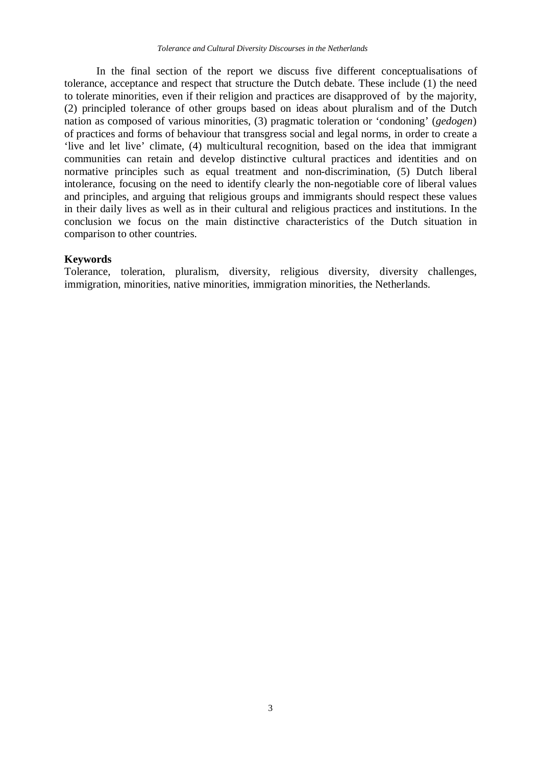In the final section of the report we discuss five different conceptualisations of tolerance, acceptance and respect that structure the Dutch debate. These include (1) the need to tolerate minorities, even if their religion and practices are disapproved of by the majority, (2) principled tolerance of other groups based on ideas about pluralism and of the Dutch nation as composed of various minorities, (3) pragmatic toleration or 'condoning' (*gedogen*) of practices and forms of behaviour that transgress social and legal norms, in order to create a 'live and let live' climate, (4) multicultural recognition, based on the idea that immigrant communities can retain and develop distinctive cultural practices and identities and on normative principles such as equal treatment and non-discrimination, (5) Dutch liberal intolerance, focusing on the need to identify clearly the non-negotiable core of liberal values and principles, and arguing that religious groups and immigrants should respect these values in their daily lives as well as in their cultural and religious practices and institutions. In the conclusion we focus on the main distinctive characteristics of the Dutch situation in comparison to other countries.

# **Keywords**

Tolerance, toleration, pluralism, diversity, religious diversity, diversity challenges, immigration, minorities, native minorities, immigration minorities, the Netherlands.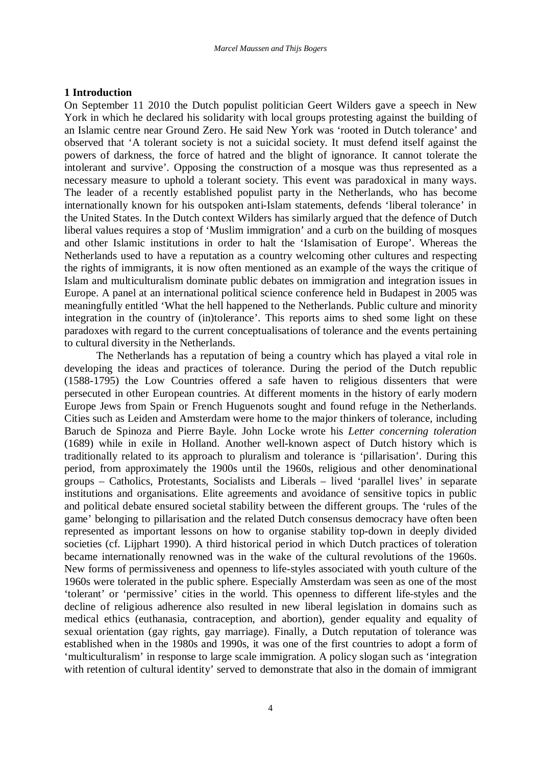# **1 Introduction**

On September 11 2010 the Dutch populist politician Geert Wilders gave a speech in New York in which he declared his solidarity with local groups protesting against the building of an Islamic centre near Ground Zero. He said New York was 'rooted in Dutch tolerance' and observed that 'A tolerant society is not a suicidal society. It must defend itself against the powers of darkness, the force of hatred and the blight of ignorance. It cannot tolerate the intolerant and survive'. Opposing the construction of a mosque was thus represented as a necessary measure to uphold a tolerant society. This event was paradoxical in many ways. The leader of a recently established populist party in the Netherlands, who has become internationally known for his outspoken anti-Islam statements, defends 'liberal tolerance' in the United States. In the Dutch context Wilders has similarly argued that the defence of Dutch liberal values requires a stop of 'Muslim immigration' and a curb on the building of mosques and other Islamic institutions in order to halt the 'Islamisation of Europe'. Whereas the Netherlands used to have a reputation as a country welcoming other cultures and respecting the rights of immigrants, it is now often mentioned as an example of the ways the critique of Islam and multiculturalism dominate public debates on immigration and integration issues in Europe. A panel at an international political science conference held in Budapest in 2005 was meaningfully entitled 'What the hell happened to the Netherlands. Public culture and minority integration in the country of (in)tolerance'. This reports aims to shed some light on these paradoxes with regard to the current conceptualisations of tolerance and the events pertaining to cultural diversity in the Netherlands.

The Netherlands has a reputation of being a country which has played a vital role in developing the ideas and practices of tolerance. During the period of the Dutch republic (1588-1795) the Low Countries offered a safe haven to religious dissenters that were persecuted in other European countries. At different moments in the history of early modern Europe Jews from Spain or French Huguenots sought and found refuge in the Netherlands. Cities such as Leiden and Amsterdam were home to the major thinkers of tolerance, including Baruch de Spinoza and Pierre Bayle. John Locke wrote his *Letter concerning toleration* (1689) while in exile in Holland. Another well-known aspect of Dutch history which is traditionally related to its approach to pluralism and tolerance is 'pillarisation'. During this period, from approximately the 1900s until the 1960s, religious and other denominational groups – Catholics, Protestants, Socialists and Liberals – lived 'parallel lives' in separate institutions and organisations. Elite agreements and avoidance of sensitive topics in public and political debate ensured societal stability between the different groups. The 'rules of the game' belonging to pillarisation and the related Dutch consensus democracy have often been represented as important lessons on how to organise stability top-down in deeply divided societies (cf. Lijphart 1990). A third historical period in which Dutch practices of toleration became internationally renowned was in the wake of the cultural revolutions of the 1960s. New forms of permissiveness and openness to life-styles associated with youth culture of the 1960s were tolerated in the public sphere. Especially Amsterdam was seen as one of the most 'tolerant' or 'permissive' cities in the world. This openness to different life-styles and the decline of religious adherence also resulted in new liberal legislation in domains such as medical ethics (euthanasia, contraception, and abortion), gender equality and equality of sexual orientation (gay rights, gay marriage). Finally, a Dutch reputation of tolerance was established when in the 1980s and 1990s, it was one of the first countries to adopt a form of 'multiculturalism' in response to large scale immigration. A policy slogan such as 'integration with retention of cultural identity' served to demonstrate that also in the domain of immigrant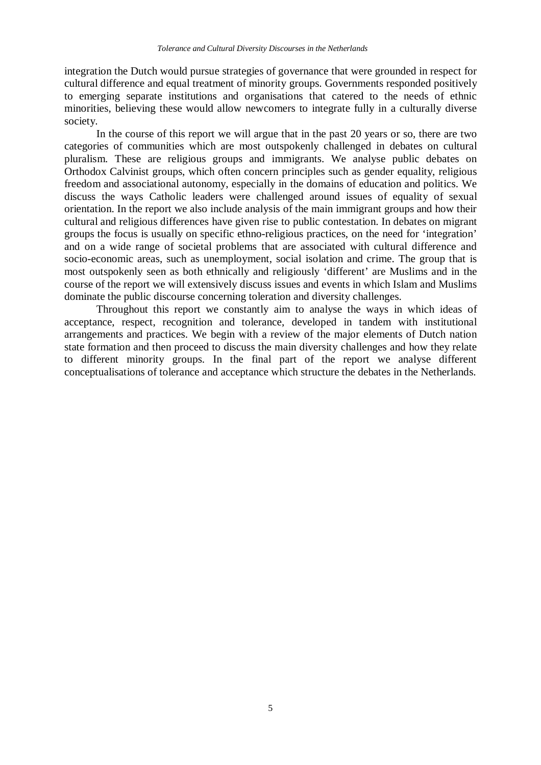integration the Dutch would pursue strategies of governance that were grounded in respect for cultural difference and equal treatment of minority groups. Governments responded positively to emerging separate institutions and organisations that catered to the needs of ethnic minorities, believing these would allow newcomers to integrate fully in a culturally diverse society.

In the course of this report we will argue that in the past 20 years or so, there are two categories of communities which are most outspokenly challenged in debates on cultural pluralism. These are religious groups and immigrants. We analyse public debates on Orthodox Calvinist groups, which often concern principles such as gender equality, religious freedom and associational autonomy, especially in the domains of education and politics. We discuss the ways Catholic leaders were challenged around issues of equality of sexual orientation. In the report we also include analysis of the main immigrant groups and how their cultural and religious differences have given rise to public contestation. In debates on migrant groups the focus is usually on specific ethno-religious practices, on the need for 'integration' and on a wide range of societal problems that are associated with cultural difference and socio-economic areas, such as unemployment, social isolation and crime. The group that is most outspokenly seen as both ethnically and religiously 'different' are Muslims and in the course of the report we will extensively discuss issues and events in which Islam and Muslims dominate the public discourse concerning toleration and diversity challenges.

Throughout this report we constantly aim to analyse the ways in which ideas of acceptance, respect, recognition and tolerance, developed in tandem with institutional arrangements and practices. We begin with a review of the major elements of Dutch nation state formation and then proceed to discuss the main diversity challenges and how they relate to different minority groups. In the final part of the report we analyse different conceptualisations of tolerance and acceptance which structure the debates in the Netherlands.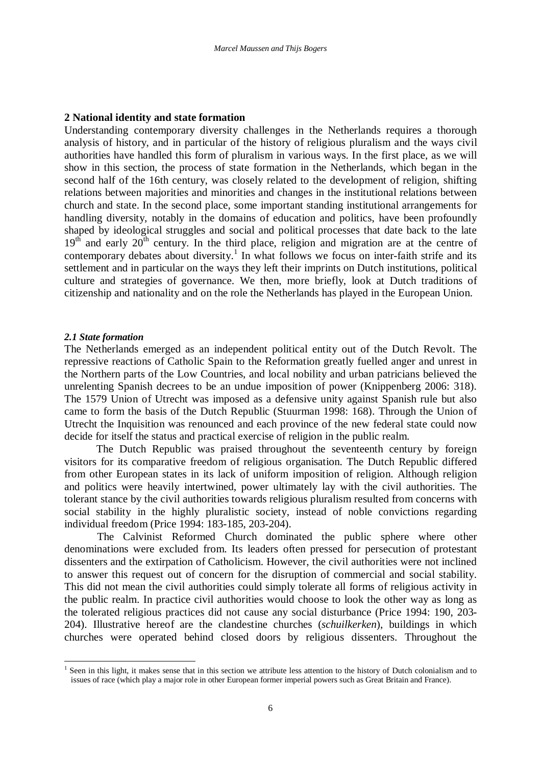# **2 National identity and state formation**

Understanding contemporary diversity challenges in the Netherlands requires a thorough analysis of history, and in particular of the history of religious pluralism and the ways civil authorities have handled this form of pluralism in various ways. In the first place, as we will show in this section, the process of state formation in the Netherlands, which began in the second half of the 16th century, was closely related to the development of religion, shifting relations between majorities and minorities and changes in the institutional relations between church and state. In the second place, some important standing institutional arrangements for handling diversity, notably in the domains of education and politics, have been profoundly shaped by ideological struggles and social and political processes that date back to the late  $19<sup>th</sup>$  and early  $20<sup>th</sup>$  century. In the third place, religion and migration are at the centre of contemporary debates about diversity.<sup>1</sup> In what follows we focus on inter-faith strife and its settlement and in particular on the ways they left their imprints on Dutch institutions, political culture and strategies of governance. We then, more briefly, look at Dutch traditions of citizenship and nationality and on the role the Netherlands has played in the European Union.

# *2.1 State formation*

The Netherlands emerged as an independent political entity out of the Dutch Revolt. The repressive reactions of Catholic Spain to the Reformation greatly fuelled anger and unrest in the Northern parts of the Low Countries, and local nobility and urban patricians believed the unrelenting Spanish decrees to be an undue imposition of power (Knippenberg 2006: 318). The 1579 Union of Utrecht was imposed as a defensive unity against Spanish rule but also came to form the basis of the Dutch Republic (Stuurman 1998: 168). Through the Union of Utrecht the Inquisition was renounced and each province of the new federal state could now decide for itself the status and practical exercise of religion in the public realm.

The Dutch Republic was praised throughout the seventeenth century by foreign visitors for its comparative freedom of religious organisation. The Dutch Republic differed from other European states in its lack of uniform imposition of religion. Although religion and politics were heavily intertwined, power ultimately lay with the civil authorities. The tolerant stance by the civil authorities towards religious pluralism resulted from concerns with social stability in the highly pluralistic society, instead of noble convictions regarding individual freedom (Price 1994: 183-185, 203-204).

The Calvinist Reformed Church dominated the public sphere where other denominations were excluded from. Its leaders often pressed for persecution of protestant dissenters and the extirpation of Catholicism. However, the civil authorities were not inclined to answer this request out of concern for the disruption of commercial and social stability. This did not mean the civil authorities could simply tolerate all forms of religious activity in the public realm. In practice civil authorities would choose to look the other way as long as the tolerated religious practices did not cause any social disturbance (Price 1994: 190, 203- 204). Illustrative hereof are the clandestine churches (*schuilkerken*), buildings in which churches were operated behind closed doors by religious dissenters. Throughout the

<sup>&</sup>lt;sup>1</sup> Seen in this light, it makes sense that in this section we attribute less attention to the history of Dutch colonialism and to issues of race (which play a major role in other European former imperial powers such as Great Britain and France).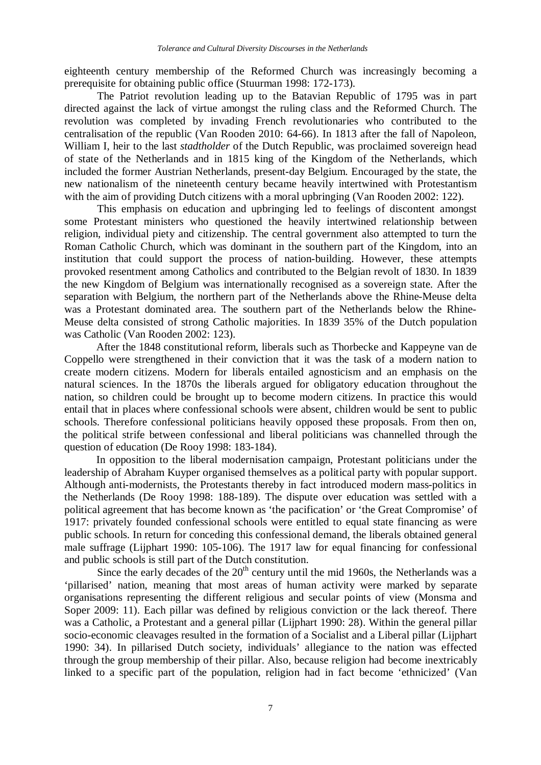eighteenth century membership of the Reformed Church was increasingly becoming a prerequisite for obtaining public office (Stuurman 1998: 172-173).

The Patriot revolution leading up to the Batavian Republic of 1795 was in part directed against the lack of virtue amongst the ruling class and the Reformed Church. The revolution was completed by invading French revolutionaries who contributed to the centralisation of the republic (Van Rooden 2010: 64-66). In 1813 after the fall of Napoleon, William I, heir to the last *stadtholder* of the Dutch Republic, was proclaimed sovereign head of state of the Netherlands and in 1815 king of the Kingdom of the Netherlands, which included the former Austrian Netherlands, present-day Belgium. Encouraged by the state, the new nationalism of the nineteenth century became heavily intertwined with Protestantism with the aim of providing Dutch citizens with a moral upbringing (Van Rooden 2002: 122).

This emphasis on education and upbringing led to feelings of discontent amongst some Protestant ministers who questioned the heavily intertwined relationship between religion, individual piety and citizenship. The central government also attempted to turn the Roman Catholic Church, which was dominant in the southern part of the Kingdom, into an institution that could support the process of nation-building. However, these attempts provoked resentment among Catholics and contributed to the Belgian revolt of 1830. In 1839 the new Kingdom of Belgium was internationally recognised as a sovereign state. After the separation with Belgium, the northern part of the Netherlands above the Rhine-Meuse delta was a Protestant dominated area. The southern part of the Netherlands below the Rhine-Meuse delta consisted of strong Catholic majorities. In 1839 35% of the Dutch population was Catholic (Van Rooden 2002: 123).

After the 1848 constitutional reform, liberals such as Thorbecke and Kappeyne van de Coppello were strengthened in their conviction that it was the task of a modern nation to create modern citizens. Modern for liberals entailed agnosticism and an emphasis on the natural sciences. In the 1870s the liberals argued for obligatory education throughout the nation, so children could be brought up to become modern citizens. In practice this would entail that in places where confessional schools were absent, children would be sent to public schools. Therefore confessional politicians heavily opposed these proposals. From then on, the political strife between confessional and liberal politicians was channelled through the question of education (De Rooy 1998: 183-184).

In opposition to the liberal modernisation campaign, Protestant politicians under the leadership of Abraham Kuyper organised themselves as a political party with popular support. Although anti-modernists, the Protestants thereby in fact introduced modern mass-politics in the Netherlands (De Rooy 1998: 188-189). The dispute over education was settled with a political agreement that has become known as 'the pacification' or 'the Great Compromise' of 1917: privately founded confessional schools were entitled to equal state financing as were public schools. In return for conceding this confessional demand, the liberals obtained general male suffrage (Lijphart 1990: 105-106). The 1917 law for equal financing for confessional and public schools is still part of the Dutch constitution.

Since the early decades of the  $20<sup>th</sup>$  century until the mid 1960s, the Netherlands was a 'pillarised' nation, meaning that most areas of human activity were marked by separate organisations representing the different religious and secular points of view (Monsma and Soper 2009: 11). Each pillar was defined by religious conviction or the lack thereof. There was a Catholic, a Protestant and a general pillar (Lijphart 1990: 28). Within the general pillar socio-economic cleavages resulted in the formation of a Socialist and a Liberal pillar (Lijphart 1990: 34). In pillarised Dutch society, individuals' allegiance to the nation was effected through the group membership of their pillar. Also, because religion had become inextricably linked to a specific part of the population, religion had in fact become 'ethnicized' (Van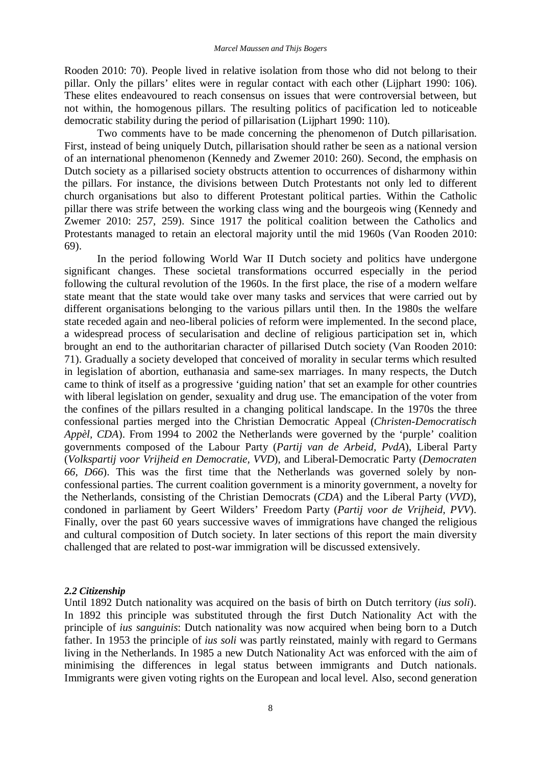Rooden 2010: 70). People lived in relative isolation from those who did not belong to their pillar. Only the pillars' elites were in regular contact with each other (Lijphart 1990: 106). These elites endeavoured to reach consensus on issues that were controversial between, but not within, the homogenous pillars. The resulting politics of pacification led to noticeable democratic stability during the period of pillarisation (Lijphart 1990: 110).

Two comments have to be made concerning the phenomenon of Dutch pillarisation. First, instead of being uniquely Dutch, pillarisation should rather be seen as a national version of an international phenomenon (Kennedy and Zwemer 2010: 260). Second, the emphasis on Dutch society as a pillarised society obstructs attention to occurrences of disharmony within the pillars. For instance, the divisions between Dutch Protestants not only led to different church organisations but also to different Protestant political parties. Within the Catholic pillar there was strife between the working class wing and the bourgeois wing (Kennedy and Zwemer 2010: 257, 259). Since 1917 the political coalition between the Catholics and Protestants managed to retain an electoral majority until the mid 1960s (Van Rooden 2010: 69).

In the period following World War II Dutch society and politics have undergone significant changes. These societal transformations occurred especially in the period following the cultural revolution of the 1960s. In the first place, the rise of a modern welfare state meant that the state would take over many tasks and services that were carried out by different organisations belonging to the various pillars until then. In the 1980s the welfare state receded again and neo-liberal policies of reform were implemented. In the second place, a widespread process of secularisation and decline of religious participation set in, which brought an end to the authoritarian character of pillarised Dutch society (Van Rooden 2010: 71). Gradually a society developed that conceived of morality in secular terms which resulted in legislation of abortion, euthanasia and same-sex marriages. In many respects, the Dutch came to think of itself as a progressive 'guiding nation' that set an example for other countries with liberal legislation on gender, sexuality and drug use. The emancipation of the voter from the confines of the pillars resulted in a changing political landscape. In the 1970s the three confessional parties merged into the Christian Democratic Appeal (*Christen-Democratisch Appèl, CDA*). From 1994 to 2002 the Netherlands were governed by the 'purple' coalition governments composed of the Labour Party (*Partij van de Arbeid, PvdA*), Liberal Party (*Volkspartij voor Vrijheid en Democratie, VVD*), and Liberal-Democratic Party (*Democraten 66, D66*). This was the first time that the Netherlands was governed solely by nonconfessional parties. The current coalition government is a minority government, a novelty for the Netherlands, consisting of the Christian Democrats (*CDA*) and the Liberal Party (*VVD*), condoned in parliament by Geert Wilders' Freedom Party (*Partij voor de Vrijheid, PVV*). Finally, over the past 60 years successive waves of immigrations have changed the religious and cultural composition of Dutch society. In later sections of this report the main diversity challenged that are related to post-war immigration will be discussed extensively.

# *2.2 Citizenship*

Until 1892 Dutch nationality was acquired on the basis of birth on Dutch territory (*ius soli*). In 1892 this principle was substituted through the first Dutch Nationality Act with the principle of *ius sanguinis*: Dutch nationality was now acquired when being born to a Dutch father. In 1953 the principle of *ius soli* was partly reinstated, mainly with regard to Germans living in the Netherlands. In 1985 a new Dutch Nationality Act was enforced with the aim of minimising the differences in legal status between immigrants and Dutch nationals. Immigrants were given voting rights on the European and local level. Also, second generation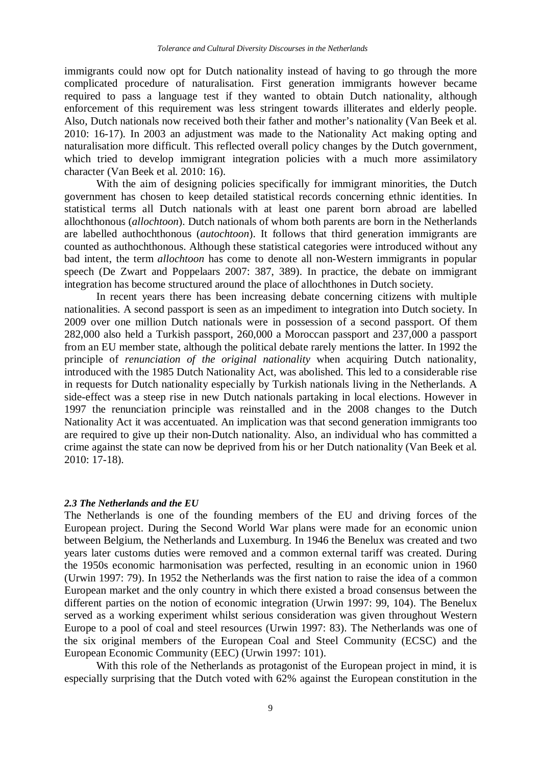immigrants could now opt for Dutch nationality instead of having to go through the more complicated procedure of naturalisation. First generation immigrants however became required to pass a language test if they wanted to obtain Dutch nationality, although enforcement of this requirement was less stringent towards illiterates and elderly people. Also, Dutch nationals now received both their father and mother's nationality (Van Beek et al. 2010: 16-17). In 2003 an adjustment was made to the Nationality Act making opting and naturalisation more difficult. This reflected overall policy changes by the Dutch government, which tried to develop immigrant integration policies with a much more assimilatory character (Van Beek et al. 2010: 16).

With the aim of designing policies specifically for immigrant minorities, the Dutch government has chosen to keep detailed statistical records concerning ethnic identities. In statistical terms all Dutch nationals with at least one parent born abroad are labelled allochthonous (*allochtoon*). Dutch nationals of whom both parents are born in the Netherlands are labelled authochthonous (*autochtoon*). It follows that third generation immigrants are counted as authochthonous. Although these statistical categories were introduced without any bad intent, the term *allochtoon* has come to denote all non-Western immigrants in popular speech (De Zwart and Poppelaars 2007: 387, 389). In practice, the debate on immigrant integration has become structured around the place of allochthones in Dutch society.

In recent years there has been increasing debate concerning citizens with multiple nationalities. A second passport is seen as an impediment to integration into Dutch society. In 2009 over one million Dutch nationals were in possession of a second passport. Of them 282,000 also held a Turkish passport, 260,000 a Moroccan passport and 237,000 a passport from an EU member state, although the political debate rarely mentions the latter. In 1992 the principle of *renunciation of the original nationality* when acquiring Dutch nationality, introduced with the 1985 Dutch Nationality Act, was abolished. This led to a considerable rise in requests for Dutch nationality especially by Turkish nationals living in the Netherlands. A side-effect was a steep rise in new Dutch nationals partaking in local elections. However in 1997 the renunciation principle was reinstalled and in the 2008 changes to the Dutch Nationality Act it was accentuated. An implication was that second generation immigrants too are required to give up their non-Dutch nationality. Also, an individual who has committed a crime against the state can now be deprived from his or her Dutch nationality (Van Beek et al. 2010: 17-18).

#### *2.3 The Netherlands and the EU*

The Netherlands is one of the founding members of the EU and driving forces of the European project. During the Second World War plans were made for an economic union between Belgium, the Netherlands and Luxemburg. In 1946 the Benelux was created and two years later customs duties were removed and a common external tariff was created. During the 1950s economic harmonisation was perfected, resulting in an economic union in 1960 (Urwin 1997: 79). In 1952 the Netherlands was the first nation to raise the idea of a common European market and the only country in which there existed a broad consensus between the different parties on the notion of economic integration (Urwin 1997: 99, 104). The Benelux served as a working experiment whilst serious consideration was given throughout Western Europe to a pool of coal and steel resources (Urwin 1997: 83). The Netherlands was one of the six original members of the European Coal and Steel Community (ECSC) and the European Economic Community (EEC) (Urwin 1997: 101).

With this role of the Netherlands as protagonist of the European project in mind, it is especially surprising that the Dutch voted with 62% against the European constitution in the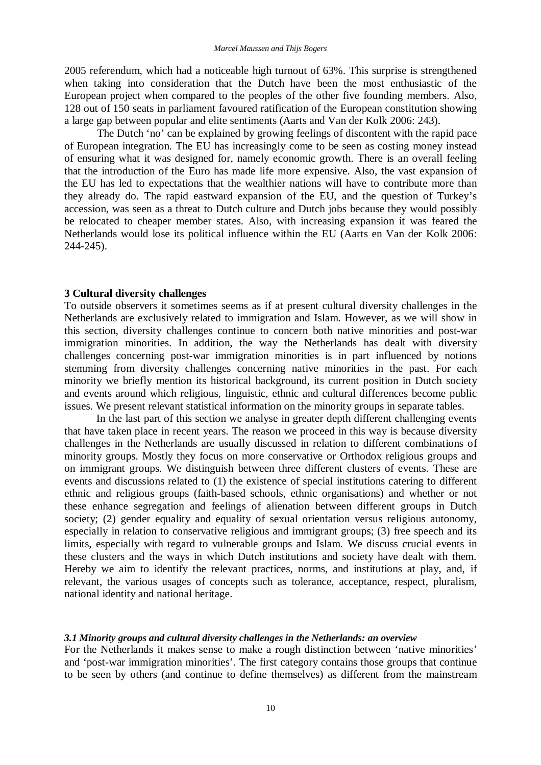2005 referendum, which had a noticeable high turnout of 63%. This surprise is strengthened when taking into consideration that the Dutch have been the most enthusiastic of the European project when compared to the peoples of the other five founding members. Also, 128 out of 150 seats in parliament favoured ratification of the European constitution showing a large gap between popular and elite sentiments (Aarts and Van der Kolk 2006: 243).

The Dutch 'no' can be explained by growing feelings of discontent with the rapid pace of European integration. The EU has increasingly come to be seen as costing money instead of ensuring what it was designed for, namely economic growth. There is an overall feeling that the introduction of the Euro has made life more expensive. Also, the vast expansion of the EU has led to expectations that the wealthier nations will have to contribute more than they already do. The rapid eastward expansion of the EU, and the question of Turkey's accession, was seen as a threat to Dutch culture and Dutch jobs because they would possibly be relocated to cheaper member states. Also, with increasing expansion it was feared the Netherlands would lose its political influence within the EU (Aarts en Van der Kolk 2006: 244-245).

#### **3 Cultural diversity challenges**

To outside observers it sometimes seems as if at present cultural diversity challenges in the Netherlands are exclusively related to immigration and Islam. However, as we will show in this section, diversity challenges continue to concern both native minorities and post-war immigration minorities. In addition, the way the Netherlands has dealt with diversity challenges concerning post-war immigration minorities is in part influenced by notions stemming from diversity challenges concerning native minorities in the past. For each minority we briefly mention its historical background, its current position in Dutch society and events around which religious, linguistic, ethnic and cultural differences become public issues. We present relevant statistical information on the minority groups in separate tables.

In the last part of this section we analyse in greater depth different challenging events that have taken place in recent years. The reason we proceed in this way is because diversity challenges in the Netherlands are usually discussed in relation to different combinations of minority groups. Mostly they focus on more conservative or Orthodox religious groups and on immigrant groups. We distinguish between three different clusters of events. These are events and discussions related to (1) the existence of special institutions catering to different ethnic and religious groups (faith-based schools, ethnic organisations) and whether or not these enhance segregation and feelings of alienation between different groups in Dutch society; (2) gender equality and equality of sexual orientation versus religious autonomy, especially in relation to conservative religious and immigrant groups; (3) free speech and its limits, especially with regard to vulnerable groups and Islam. We discuss crucial events in these clusters and the ways in which Dutch institutions and society have dealt with them. Hereby we aim to identify the relevant practices, norms, and institutions at play, and, if relevant, the various usages of concepts such as tolerance, acceptance, respect, pluralism, national identity and national heritage.

#### *3.1 Minority groups and cultural diversity challenges in the Netherlands: an overview*

For the Netherlands it makes sense to make a rough distinction between 'native minorities' and 'post-war immigration minorities'. The first category contains those groups that continue to be seen by others (and continue to define themselves) as different from the mainstream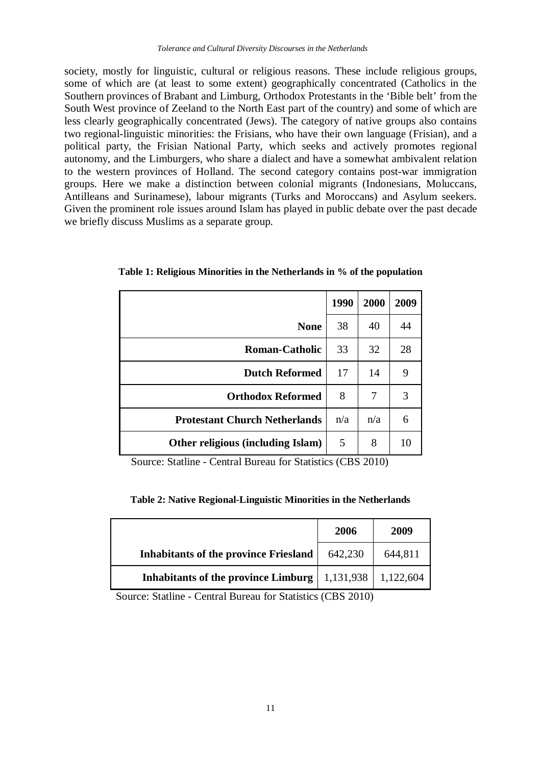society, mostly for linguistic, cultural or religious reasons. These include religious groups, some of which are (at least to some extent) geographically concentrated (Catholics in the Southern provinces of Brabant and Limburg, Orthodox Protestants in the 'Bible belt' from the South West province of Zeeland to the North East part of the country) and some of which are less clearly geographically concentrated (Jews). The category of native groups also contains two regional-linguistic minorities: the Frisians, who have their own language (Frisian), and a political party, the Frisian National Party, which seeks and actively promotes regional autonomy, and the Limburgers, who share a dialect and have a somewhat ambivalent relation to the western provinces of Holland. The second category contains post-war immigration groups. Here we make a distinction between colonial migrants (Indonesians, Moluccans, Antilleans and Surinamese), labour migrants (Turks and Moroccans) and Asylum seekers. Given the prominent role issues around Islam has played in public debate over the past decade we briefly discuss Muslims as a separate group.

|                                      | 1990 | 2000 | 2009 |
|--------------------------------------|------|------|------|
| <b>None</b>                          | 38   | 40   | 44   |
| <b>Roman-Catholic</b>                | 33   | 32   | 28   |
| <b>Dutch Reformed</b>                | 17   | 14   | 9    |
| <b>Orthodox Reformed</b>             | 8    | 7    | 3    |
| <b>Protestant Church Netherlands</b> | n/a  | n/a  | 6    |
| Other religious (including Islam)    | 5    | 8    | 10   |

**Table 1: Religious Minorities in the Netherlands in % of the population**

Source: Statline - Central Bureau for Statistics (CBS 2010)

**Table 2: Native Regional-Linguistic Minorities in the Netherlands**

|                                              | 2006      | 2009      |
|----------------------------------------------|-----------|-----------|
| <b>Inhabitants of the province Friesland</b> | 642,230   | 644,811   |
| <b>Inhabitants of the province Limburg</b>   | 1,131,938 | 1,122,604 |

Source: Statline - Central Bureau for Statistics (CBS 2010)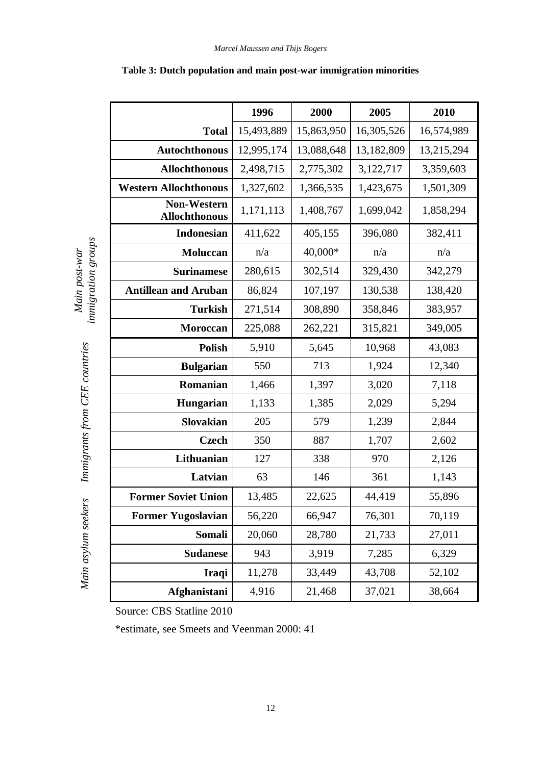|                                            | 1996       | 2000             | 2005       | 2010       |  |
|--------------------------------------------|------------|------------------|------------|------------|--|
| <b>Total</b>                               | 15,493,889 | 15,863,950       | 16,305,526 | 16,574,989 |  |
| Autochthonous                              | 12,995,174 | 13,088,648       | 13,182,809 | 13,215,294 |  |
| <b>Allochthonous</b>                       | 2,498,715  | 2,775,302        | 3,122,717  | 3,359,603  |  |
| <b>Western Allochthonous</b>               | 1,327,602  | 1,366,535        | 1,423,675  | 1,501,309  |  |
| <b>Non-Western</b><br><b>Allochthonous</b> | 1,171,113  | 1,408,767        | 1,699,042  | 1,858,294  |  |
| <b>Indonesian</b>                          | 411,622    | 405,155          | 396,080    | 382,411    |  |
| <b>Moluccan</b>                            | n/a        | 40,000*          | n/a        | n/a        |  |
| <b>Surinamese</b>                          | 280,615    | 302,514          | 329,430    | 342,279    |  |
| <b>Antillean and Aruban</b>                | 86,824     | 107,197          | 130,538    | 138,420    |  |
| <b>Turkish</b>                             | 271,514    | 308,890          | 358,846    | 383,957    |  |
| Moroccan                                   | 225,088    | 262,221          | 315,821    | 349,005    |  |
| <b>Polish</b>                              | 5,910      | 5,645            | 10,968     | 43,083     |  |
| <b>Bulgarian</b>                           | 550        | 713              | 1,924      | 12,340     |  |
| Romanian                                   | 1,466      | 1,397            | 3,020      | 7,118      |  |
| Hungarian                                  | 1,133      | 1,385            | 2,029      | 5,294      |  |
| <b>Slovakian</b>                           | 205        | 579              | 1,239      | 2,844      |  |
| <b>Czech</b>                               | 350        | 887              | 1,707      | 2,602      |  |
| Lithuanian                                 | 127        | 338              | 970        | 2,126      |  |
| Latvian                                    | 63         | 146              | 361        | 1,143      |  |
| <b>Former Soviet Union</b>                 | 13,485     | 22,625<br>44,419 |            | 55,896     |  |
| <b>Former Yugoslavian</b>                  | 56,220     | 66,947           | 76,301     | 70,119     |  |
| Somali                                     | 20,060     | 28,780           | 21,733     | 27,011     |  |
| <b>Sudanese</b>                            | 943        | 3,919            | 7,285      | 6,329      |  |
| Iraqi                                      | 11,278     | 33,449           | 43,708     | 52,102     |  |
| Afghanistani                               | 4,916      | 21,468           | 37,021     | 38,664     |  |

# **Table 3: Dutch population and main post-war immigration minorities**

Source: CBS Statline 2010

*Main post-war immigration groups*

immigration groups Main post-war

*Immigrants from CEE countries*

Main asylum seekers Immigrants from CEE countries

*Main asylum seekers*

\*estimate, see Smeets and Veenman 2000: 41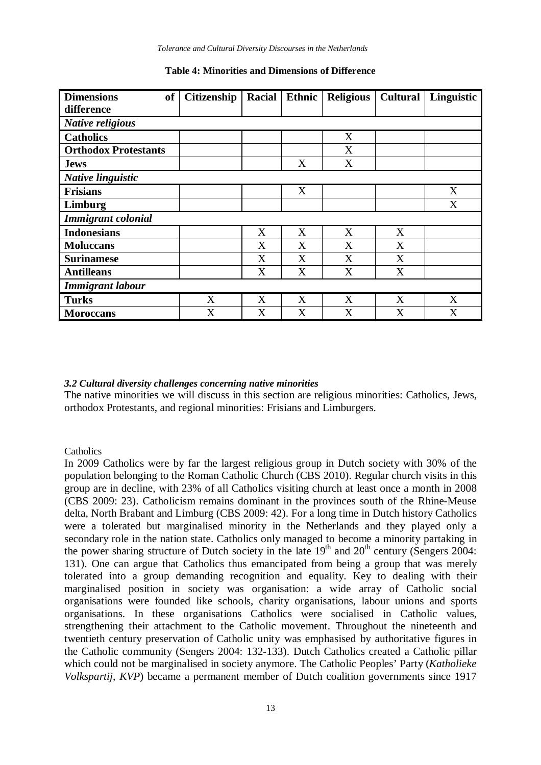*Tolerance and Cultural Diversity Discourses in the Netherlands*

| <b>Dimensions</b><br>of     | Citizenship | Racial | Ethnic | <b>Religious</b> | <b>Cultural</b> | Linguistic |
|-----------------------------|-------------|--------|--------|------------------|-----------------|------------|
| difference                  |             |        |        |                  |                 |            |
| <b>Native religious</b>     |             |        |        |                  |                 |            |
| <b>Catholics</b>            |             |        |        | X                |                 |            |
| <b>Orthodox Protestants</b> |             |        |        | X                |                 |            |
| <b>Jews</b>                 |             |        | X      | X                |                 |            |
| Native linguistic           |             |        |        |                  |                 |            |
| <b>Frisians</b>             |             |        | X      |                  |                 | X          |
| Limburg                     |             |        |        |                  |                 | X          |
| <b>Immigrant</b> colonial   |             |        |        |                  |                 |            |
| <b>Indonesians</b>          |             | X      | X      | X                | X               |            |
| <b>Moluccans</b>            |             | X      | X      | X                | X               |            |
| <b>Surinamese</b>           |             | X      | X      | X                | X               |            |
| <b>Antilleans</b>           |             | X      | X      | X                | X               |            |
| <b>Immigrant labour</b>     |             |        |        |                  |                 |            |
| <b>Turks</b>                | X           | X      | X      | X                | X               | X          |
| <b>Moroccans</b>            | X           | X      | X      | X                | X               | X          |

**Table 4: Minorities and Dimensions of Difference**

# *3.2 Cultural diversity challenges concerning native minorities*

The native minorities we will discuss in this section are religious minorities: Catholics, Jews, orthodox Protestants, and regional minorities: Frisians and Limburgers.

# Catholics

In 2009 Catholics were by far the largest religious group in Dutch society with 30% of the population belonging to the Roman Catholic Church (CBS 2010). Regular church visits in this group are in decline, with 23% of all Catholics visiting church at least once a month in 2008 (CBS 2009: 23). Catholicism remains dominant in the provinces south of the Rhine-Meuse delta, North Brabant and Limburg (CBS 2009: 42). For a long time in Dutch history Catholics were a tolerated but marginalised minority in the Netherlands and they played only a secondary role in the nation state. Catholics only managed to become a minority partaking in the power sharing structure of Dutch society in the late  $19<sup>th</sup>$  and  $20<sup>th</sup>$  century (Sengers 2004: 131). One can argue that Catholics thus emancipated from being a group that was merely tolerated into a group demanding recognition and equality. Key to dealing with their marginalised position in society was organisation: a wide array of Catholic social organisations were founded like schools, charity organisations, labour unions and sports organisations. In these organisations Catholics were socialised in Catholic values, strengthening their attachment to the Catholic movement. Throughout the nineteenth and twentieth century preservation of Catholic unity was emphasised by authoritative figures in the Catholic community (Sengers 2004: 132-133). Dutch Catholics created a Catholic pillar which could not be marginalised in society anymore. The Catholic Peoples' Party (*Katholieke Volkspartij, KVP*) became a permanent member of Dutch coalition governments since 1917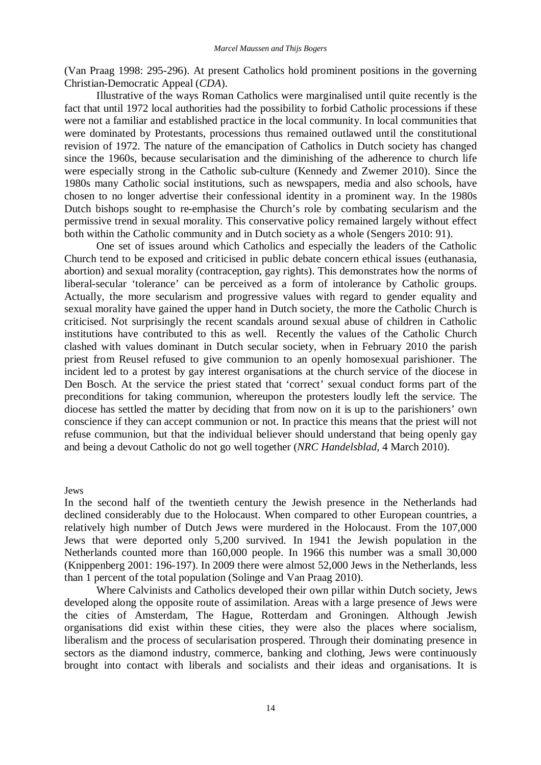(Van Praag 1998: 295-296). At present Catholics hold prominent positions in the governing Christian-Democratic Appeal (*CDA*).

Illustrative of the ways Roman Catholics were marginalised until quite recently is the fact that until 1972 local authorities had the possibility to forbid Catholic processions if these were not a familiar and established practice in the local community. In local communities that were dominated by Protestants, processions thus remained outlawed until the constitutional revision of 1972. The nature of the emancipation of Catholics in Dutch society has changed since the 1960s, because secularisation and the diminishing of the adherence to church life were especially strong in the Catholic sub-culture (Kennedy and Zwemer 2010). Since the 1980s many Catholic social institutions, such as newspapers, media and also schools, have chosen to no longer advertise their confessional identity in a prominent way. In the 1980s Dutch bishops sought to re-emphasise the Church's role by combating secularism and the permissive trend in sexual morality. This conservative policy remained largely without effect both within the Catholic community and in Dutch society as a whole (Sengers 2010: 91).

One set of issues around which Catholics and especially the leaders of the Catholic Church tend to be exposed and criticised in public debate concern ethical issues (euthanasia, abortion) and sexual morality (contraception, gay rights). This demonstrates how the norms of liberal-secular 'tolerance' can be perceived as a form of intolerance by Catholic groups. Actually, the more secularism and progressive values with regard to gender equality and sexual morality have gained the upper hand in Dutch society, the more the Catholic Church is criticised. Not surprisingly the recent scandals around sexual abuse of children in Catholic institutions have contributed to this as well. Recently the values of the Catholic Church clashed with values dominant in Dutch secular society, when in February 2010 the parish priest from Reusel refused to give communion to an openly homosexual parishioner. The incident led to a protest by gay interest organisations at the church service of the diocese in Den Bosch. At the service the priest stated that 'correct' sexual conduct forms part of the preconditions for taking communion, whereupon the protesters loudly left the service. The diocese has settled the matter by deciding that from now on it is up to the parishioners' own conscience if they can accept communion or not. In practice this means that the priest will not refuse communion, but that the individual believer should understand that being openly gay and being a devout Catholic do not go well together (*NRC Handelsblad*, 4 March 2010).

#### Jews

In the second half of the twentieth century the Jewish presence in the Netherlands had declined considerably due to the Holocaust. When compared to other European countries, a relatively high number of Dutch Jews were murdered in the Holocaust. From the 107,000 Jews that were deported only 5,200 survived. In 1941 the Jewish population in the Netherlands counted more than 160,000 people. In 1966 this number was a small 30,000 (Knippenberg 2001: 196-197). In 2009 there were almost 52,000 Jews in the Netherlands, less than 1 percent of the total population (Solinge and Van Praag 2010).

Where Calvinists and Catholics developed their own pillar within Dutch society, Jews developed along the opposite route of assimilation. Areas with a large presence of Jews were the cities of Amsterdam, The Hague, Rotterdam and Groningen. Although Jewish organisations did exist within these cities, they were also the places where socialism, liberalism and the process of secularisation prospered. Through their dominating presence in sectors as the diamond industry, commerce, banking and clothing, Jews were continuously brought into contact with liberals and socialists and their ideas and organisations. It is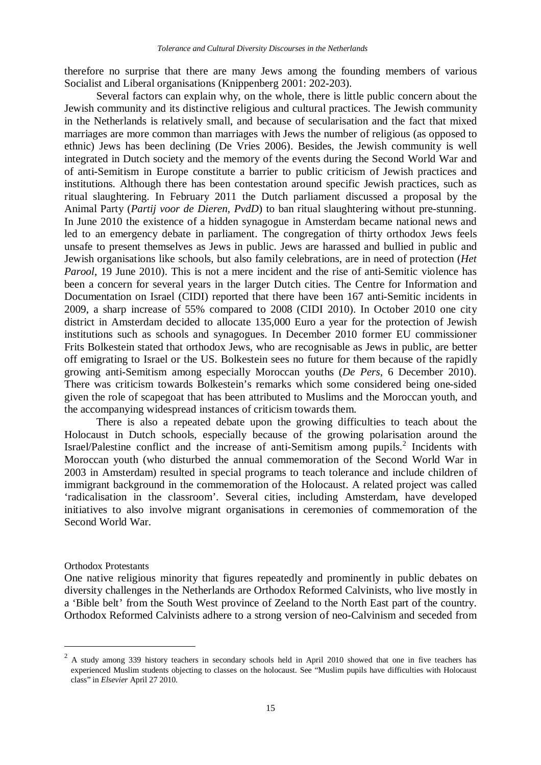therefore no surprise that there are many Jews among the founding members of various Socialist and Liberal organisations (Knippenberg 2001: 202-203).

Several factors can explain why, on the whole, there is little public concern about the Jewish community and its distinctive religious and cultural practices. The Jewish community in the Netherlands is relatively small, and because of secularisation and the fact that mixed marriages are more common than marriages with Jews the number of religious (as opposed to ethnic) Jews has been declining (De Vries 2006). Besides, the Jewish community is well integrated in Dutch society and the memory of the events during the Second World War and of anti-Semitism in Europe constitute a barrier to public criticism of Jewish practices and institutions. Although there has been contestation around specific Jewish practices, such as ritual slaughtering. In February 2011 the Dutch parliament discussed a proposal by the Animal Party (*Partij voor de Dieren*, *PvdD*) to ban ritual slaughtering without pre-stunning. In June 2010 the existence of a hidden synagogue in Amsterdam became national news and led to an emergency debate in parliament. The congregation of thirty orthodox Jews feels unsafe to present themselves as Jews in public. Jews are harassed and bullied in public and Jewish organisations like schools, but also family celebrations, are in need of protection (*Het Parool*, 19 June 2010). This is not a mere incident and the rise of anti-Semitic violence has been a concern for several years in the larger Dutch cities. The Centre for Information and Documentation on Israel (CIDI) reported that there have been 167 anti-Semitic incidents in 2009, a sharp increase of 55% compared to 2008 (CIDI 2010). In October 2010 one city district in Amsterdam decided to allocate 135,000 Euro a year for the protection of Jewish institutions such as schools and synagogues. In December 2010 former EU commissioner Frits Bolkestein stated that orthodox Jews, who are recognisable as Jews in public, are better off emigrating to Israel or the US. Bolkestein sees no future for them because of the rapidly growing anti-Semitism among especially Moroccan youths (*De Pers*, 6 December 2010). There was criticism towards Bolkestein's remarks which some considered being one-sided given the role of scapegoat that has been attributed to Muslims and the Moroccan youth, and the accompanying widespread instances of criticism towards them.

There is also a repeated debate upon the growing difficulties to teach about the Holocaust in Dutch schools, especially because of the growing polarisation around the Israel/Palestine conflict and the increase of anti-Semitism among pupils.<sup>2</sup> Incidents with Moroccan youth (who disturbed the annual commemoration of the Second World War in 2003 in Amsterdam) resulted in special programs to teach tolerance and include children of immigrant background in the commemoration of the Holocaust. A related project was called 'radicalisation in the classroom'. Several cities, including Amsterdam, have developed initiatives to also involve migrant organisations in ceremonies of commemoration of the Second World War.

#### Orthodox Protestants

 $\overline{a}$ 

One native religious minority that figures repeatedly and prominently in public debates on diversity challenges in the Netherlands are Orthodox Reformed Calvinists, who live mostly in a 'Bible belt' from the South West province of Zeeland to the North East part of the country. Orthodox Reformed Calvinists adhere to a strong version of neo-Calvinism and seceded from

 $2$  A study among 339 history teachers in secondary schools held in April 2010 showed that one in five teachers has experienced Muslim students objecting to classes on the holocaust. See "Muslim pupils have difficulties with Holocaust class" in *Elsevier* April 27 2010.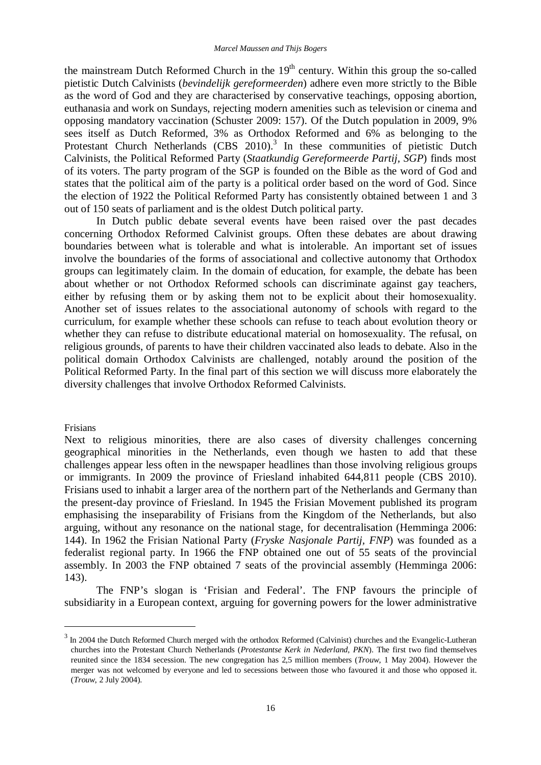the mainstream Dutch Reformed Church in the  $19<sup>th</sup>$  century. Within this group the so-called pietistic Dutch Calvinists (*bevindelijk gereformeerden*) adhere even more strictly to the Bible as the word of God and they are characterised by conservative teachings, opposing abortion, euthanasia and work on Sundays, rejecting modern amenities such as television or cinema and opposing mandatory vaccination (Schuster 2009: 157). Of the Dutch population in 2009, 9% sees itself as Dutch Reformed, 3% as Orthodox Reformed and 6% as belonging to the Protestant Church Netherlands (CBS 2010).<sup>3</sup> In these communities of pietistic Dutch Calvinists, the Political Reformed Party (*Staatkundig Gereformeerde Partij, SGP*) finds most of its voters. The party program of the SGP is founded on the Bible as the word of God and states that the political aim of the party is a political order based on the word of God. Since the election of 1922 the Political Reformed Party has consistently obtained between 1 and 3 out of 150 seats of parliament and is the oldest Dutch political party.

In Dutch public debate several events have been raised over the past decades concerning Orthodox Reformed Calvinist groups. Often these debates are about drawing boundaries between what is tolerable and what is intolerable. An important set of issues involve the boundaries of the forms of associational and collective autonomy that Orthodox groups can legitimately claim. In the domain of education, for example, the debate has been about whether or not Orthodox Reformed schools can discriminate against gay teachers, either by refusing them or by asking them not to be explicit about their homosexuality. Another set of issues relates to the associational autonomy of schools with regard to the curriculum, for example whether these schools can refuse to teach about evolution theory or whether they can refuse to distribute educational material on homosexuality. The refusal, on religious grounds, of parents to have their children vaccinated also leads to debate. Also in the political domain Orthodox Calvinists are challenged, notably around the position of the Political Reformed Party. In the final part of this section we will discuss more elaborately the diversity challenges that involve Orthodox Reformed Calvinists.

#### Frisians

 $\overline{a}$ 

Next to religious minorities, there are also cases of diversity challenges concerning geographical minorities in the Netherlands, even though we hasten to add that these challenges appear less often in the newspaper headlines than those involving religious groups or immigrants. In 2009 the province of Friesland inhabited 644,811 people (CBS 2010). Frisians used to inhabit a larger area of the northern part of the Netherlands and Germany than the present-day province of Friesland. In 1945 the Frisian Movement published its program emphasising the inseparability of Frisians from the Kingdom of the Netherlands, but also arguing, without any resonance on the national stage, for decentralisation (Hemminga 2006: 144). In 1962 the Frisian National Party (*Fryske Nasjonale Partij, FNP*) was founded as a federalist regional party. In 1966 the FNP obtained one out of 55 seats of the provincial assembly. In 2003 the FNP obtained 7 seats of the provincial assembly (Hemminga 2006: 143).

The FNP's slogan is 'Frisian and Federal'. The FNP favours the principle of subsidiarity in a European context, arguing for governing powers for the lower administrative

 $3 \text{ In } 2004$  the Dutch Reformed Church merged with the orthodox Reformed (Calvinist) churches and the Evangelic-Lutheran churches into the Protestant Church Netherlands (*Protestantse Kerk in Nederland, PKN*). The first two find themselves reunited since the 1834 secession. The new congregation has 2,5 million members (*Trouw*, 1 May 2004). However the merger was not welcomed by everyone and led to secessions between those who favoured it and those who opposed it. (*Trouw*, 2 July 2004).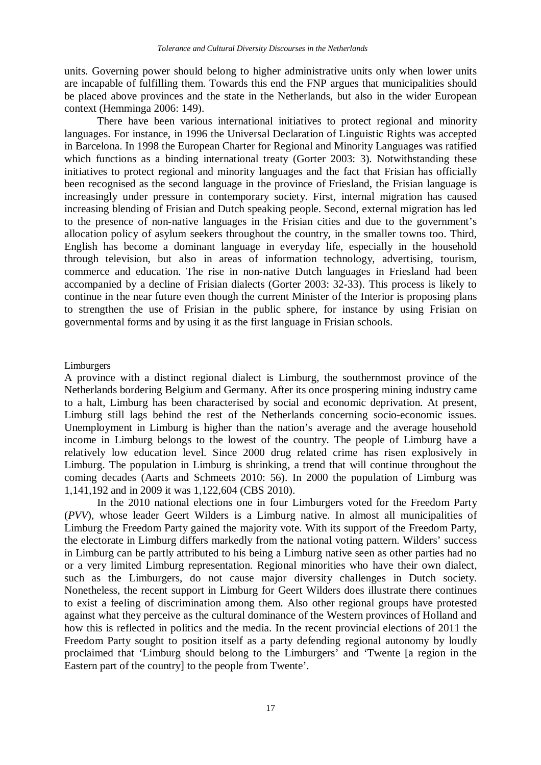units. Governing power should belong to higher administrative units only when lower units are incapable of fulfilling them. Towards this end the FNP argues that municipalities should be placed above provinces and the state in the Netherlands, but also in the wider European context (Hemminga 2006: 149).

There have been various international initiatives to protect regional and minority languages. For instance, in 1996 the Universal Declaration of Linguistic Rights was accepted in Barcelona. In 1998 the European Charter for Regional and Minority Languages was ratified which functions as a binding international treaty (Gorter 2003: 3). Notwithstanding these initiatives to protect regional and minority languages and the fact that Frisian has officially been recognised as the second language in the province of Friesland, the Frisian language is increasingly under pressure in contemporary society. First, internal migration has caused increasing blending of Frisian and Dutch speaking people. Second, external migration has led to the presence of non-native languages in the Frisian cities and due to the government's allocation policy of asylum seekers throughout the country, in the smaller towns too. Third, English has become a dominant language in everyday life, especially in the household through television, but also in areas of information technology, advertising, tourism, commerce and education. The rise in non-native Dutch languages in Friesland had been accompanied by a decline of Frisian dialects (Gorter 2003: 32-33). This process is likely to continue in the near future even though the current Minister of the Interior is proposing plans to strengthen the use of Frisian in the public sphere, for instance by using Frisian on governmental forms and by using it as the first language in Frisian schools.

#### Limburgers

A province with a distinct regional dialect is Limburg, the southernmost province of the Netherlands bordering Belgium and Germany. After its once prospering mining industry came to a halt, Limburg has been characterised by social and economic deprivation. At present, Limburg still lags behind the rest of the Netherlands concerning socio-economic issues. Unemployment in Limburg is higher than the nation's average and the average household income in Limburg belongs to the lowest of the country. The people of Limburg have a relatively low education level. Since 2000 drug related crime has risen explosively in Limburg. The population in Limburg is shrinking, a trend that will continue throughout the coming decades (Aarts and Schmeets 2010: 56). In 2000 the population of Limburg was 1,141,192 and in 2009 it was 1,122,604 (CBS 2010).

In the 2010 national elections one in four Limburgers voted for the Freedom Party (*PVV*), whose leader Geert Wilders is a Limburg native. In almost all municipalities of Limburg the Freedom Party gained the majority vote. With its support of the Freedom Party, the electorate in Limburg differs markedly from the national voting pattern. Wilders' success in Limburg can be partly attributed to his being a Limburg native seen as other parties had no or a very limited Limburg representation. Regional minorities who have their own dialect, such as the Limburgers, do not cause major diversity challenges in Dutch society. Nonetheless, the recent support in Limburg for Geert Wilders does illustrate there continues to exist a feeling of discrimination among them. Also other regional groups have protested against what they perceive as the cultural dominance of the Western provinces of Holland and how this is reflected in politics and the media. In the recent provincial elections of 2011 the Freedom Party sought to position itself as a party defending regional autonomy by loudly proclaimed that 'Limburg should belong to the Limburgers' and 'Twente [a region in the Eastern part of the country] to the people from Twente'.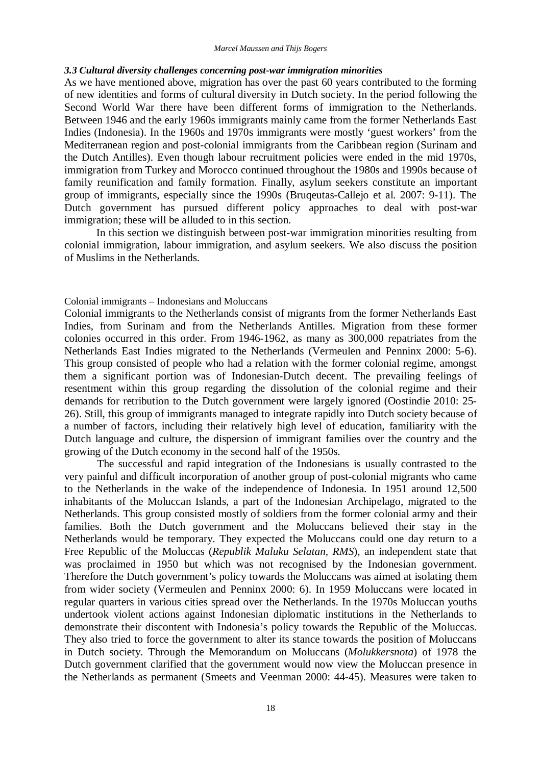# *3.3 Cultural diversity challenges concerning post-war immigration minorities*

As we have mentioned above, migration has over the past 60 years contributed to the forming of new identities and forms of cultural diversity in Dutch society. In the period following the Second World War there have been different forms of immigration to the Netherlands. Between 1946 and the early 1960s immigrants mainly came from the former Netherlands East Indies (Indonesia). In the 1960s and 1970s immigrants were mostly 'guest workers' from the Mediterranean region and post-colonial immigrants from the Caribbean region (Surinam and the Dutch Antilles). Even though labour recruitment policies were ended in the mid 1970s, immigration from Turkey and Morocco continued throughout the 1980s and 1990s because of family reunification and family formation. Finally, asylum seekers constitute an important group of immigrants, especially since the 1990s (Bruqeutas-Callejo et al. 2007: 9-11). The Dutch government has pursued different policy approaches to deal with post-war immigration; these will be alluded to in this section.

In this section we distinguish between post-war immigration minorities resulting from colonial immigration, labour immigration, and asylum seekers. We also discuss the position of Muslims in the Netherlands.

Colonial immigrants – Indonesians and Moluccans

Colonial immigrants to the Netherlands consist of migrants from the former Netherlands East Indies, from Surinam and from the Netherlands Antilles. Migration from these former colonies occurred in this order. From 1946-1962, as many as 300,000 repatriates from the Netherlands East Indies migrated to the Netherlands (Vermeulen and Penninx 2000: 5-6). This group consisted of people who had a relation with the former colonial regime, amongst them a significant portion was of Indonesian-Dutch decent. The prevailing feelings of resentment within this group regarding the dissolution of the colonial regime and their demands for retribution to the Dutch government were largely ignored (Oostindie 2010: 25- 26). Still, this group of immigrants managed to integrate rapidly into Dutch society because of a number of factors, including their relatively high level of education, familiarity with the Dutch language and culture, the dispersion of immigrant families over the country and the growing of the Dutch economy in the second half of the 1950s.

The successful and rapid integration of the Indonesians is usually contrasted to the very painful and difficult incorporation of another group of post-colonial migrants who came to the Netherlands in the wake of the independence of Indonesia. In 1951 around 12,500 inhabitants of the Moluccan Islands, a part of the Indonesian Archipelago, migrated to the Netherlands. This group consisted mostly of soldiers from the former colonial army and their families. Both the Dutch government and the Moluccans believed their stay in the Netherlands would be temporary. They expected the Moluccans could one day return to a Free Republic of the Moluccas (*Republik Maluku Selatan, RMS*), an independent state that was proclaimed in 1950 but which was not recognised by the Indonesian government. Therefore the Dutch government's policy towards the Moluccans was aimed at isolating them from wider society (Vermeulen and Penninx 2000: 6). In 1959 Moluccans were located in regular quarters in various cities spread over the Netherlands. In the 1970s Moluccan youths undertook violent actions against Indonesian diplomatic institutions in the Netherlands to demonstrate their discontent with Indonesia's policy towards the Republic of the Moluccas. They also tried to force the government to alter its stance towards the position of Moluccans in Dutch society. Through the Memorandum on Moluccans (*Molukkersnota*) of 1978 the Dutch government clarified that the government would now view the Moluccan presence in the Netherlands as permanent (Smeets and Veenman 2000: 44-45). Measures were taken to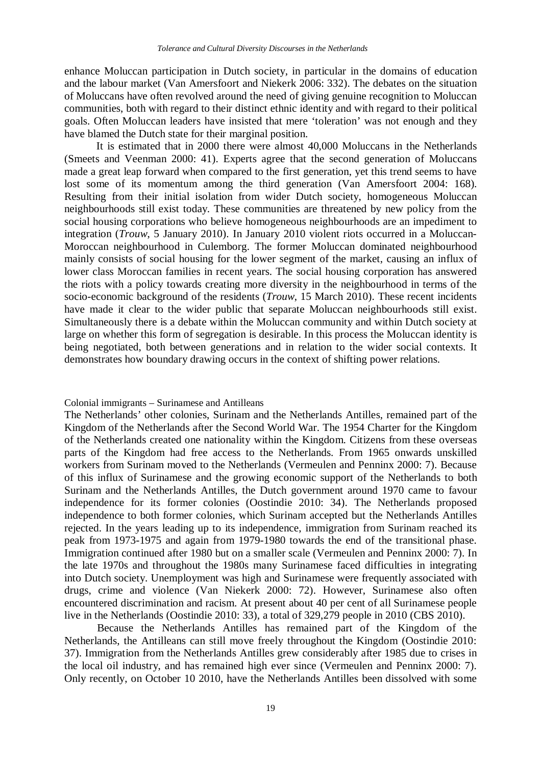enhance Moluccan participation in Dutch society, in particular in the domains of education and the labour market (Van Amersfoort and Niekerk 2006: 332). The debates on the situation of Moluccans have often revolved around the need of giving genuine recognition to Moluccan communities, both with regard to their distinct ethnic identity and with regard to their political goals. Often Moluccan leaders have insisted that mere 'toleration' was not enough and they have blamed the Dutch state for their marginal position.

It is estimated that in 2000 there were almost 40,000 Moluccans in the Netherlands (Smeets and Veenman 2000: 41). Experts agree that the second generation of Moluccans made a great leap forward when compared to the first generation, yet this trend seems to have lost some of its momentum among the third generation (Van Amersfoort 2004: 168). Resulting from their initial isolation from wider Dutch society, homogeneous Moluccan neighbourhoods still exist today. These communities are threatened by new policy from the social housing corporations who believe homogeneous neighbourhoods are an impediment to integration (*Trouw*, 5 January 2010). In January 2010 violent riots occurred in a Moluccan-Moroccan neighbourhood in Culemborg. The former Moluccan dominated neighbourhood mainly consists of social housing for the lower segment of the market, causing an influx of lower class Moroccan families in recent years. The social housing corporation has answered the riots with a policy towards creating more diversity in the neighbourhood in terms of the socio-economic background of the residents (*Trouw*, 15 March 2010). These recent incidents have made it clear to the wider public that separate Moluccan neighbourhoods still exist. Simultaneously there is a debate within the Moluccan community and within Dutch society at large on whether this form of segregation is desirable. In this process the Moluccan identity is being negotiated, both between generations and in relation to the wider social contexts. It demonstrates how boundary drawing occurs in the context of shifting power relations.

#### Colonial immigrants – Surinamese and Antilleans

The Netherlands' other colonies, Surinam and the Netherlands Antilles, remained part of the Kingdom of the Netherlands after the Second World War. The 1954 Charter for the Kingdom of the Netherlands created one nationality within the Kingdom. Citizens from these overseas parts of the Kingdom had free access to the Netherlands. From 1965 onwards unskilled workers from Surinam moved to the Netherlands (Vermeulen and Penninx 2000: 7). Because of this influx of Surinamese and the growing economic support of the Netherlands to both Surinam and the Netherlands Antilles, the Dutch government around 1970 came to favour independence for its former colonies (Oostindie 2010: 34). The Netherlands proposed independence to both former colonies, which Surinam accepted but the Netherlands Antilles rejected. In the years leading up to its independence, immigration from Surinam reached its peak from 1973-1975 and again from 1979-1980 towards the end of the transitional phase. Immigration continued after 1980 but on a smaller scale (Vermeulen and Penninx 2000: 7). In the late 1970s and throughout the 1980s many Surinamese faced difficulties in integrating into Dutch society. Unemployment was high and Surinamese were frequently associated with drugs, crime and violence (Van Niekerk 2000: 72). However, Surinamese also often encountered discrimination and racism. At present about 40 per cent of all Surinamese people live in the Netherlands (Oostindie 2010: 33), a total of 329,279 people in 2010 (CBS 2010).

Because the Netherlands Antilles has remained part of the Kingdom of the Netherlands, the Antilleans can still move freely throughout the Kingdom (Oostindie 2010: 37). Immigration from the Netherlands Antilles grew considerably after 1985 due to crises in the local oil industry, and has remained high ever since (Vermeulen and Penninx 2000: 7). Only recently, on October 10 2010, have the Netherlands Antilles been dissolved with some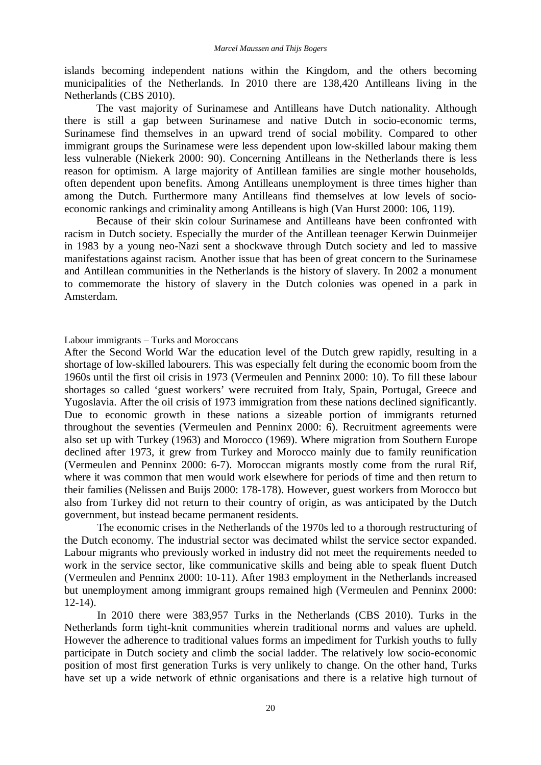islands becoming independent nations within the Kingdom, and the others becoming municipalities of the Netherlands. In 2010 there are 138,420 Antilleans living in the Netherlands (CBS 2010).

The vast majority of Surinamese and Antilleans have Dutch nationality. Although there is still a gap between Surinamese and native Dutch in socio-economic terms, Surinamese find themselves in an upward trend of social mobility. Compared to other immigrant groups the Surinamese were less dependent upon low-skilled labour making them less vulnerable (Niekerk 2000: 90). Concerning Antilleans in the Netherlands there is less reason for optimism. A large majority of Antillean families are single mother households, often dependent upon benefits. Among Antilleans unemployment is three times higher than among the Dutch. Furthermore many Antilleans find themselves at low levels of socioeconomic rankings and criminality among Antilleans is high (Van Hurst 2000: 106, 119).

Because of their skin colour Surinamese and Antilleans have been confronted with racism in Dutch society. Especially the murder of the Antillean teenager Kerwin Duinmeijer in 1983 by a young neo-Nazi sent a shockwave through Dutch society and led to massive manifestations against racism. Another issue that has been of great concern to the Surinamese and Antillean communities in the Netherlands is the history of slavery. In 2002 a monument to commemorate the history of slavery in the Dutch colonies was opened in a park in Amsterdam.

Labour immigrants – Turks and Moroccans

After the Second World War the education level of the Dutch grew rapidly, resulting in a shortage of low-skilled labourers. This was especially felt during the economic boom from the 1960s until the first oil crisis in 1973 (Vermeulen and Penninx 2000: 10). To fill these labour shortages so called 'guest workers' were recruited from Italy, Spain, Portugal, Greece and Yugoslavia. After the oil crisis of 1973 immigration from these nations declined significantly. Due to economic growth in these nations a sizeable portion of immigrants returned throughout the seventies (Vermeulen and Penninx 2000: 6). Recruitment agreements were also set up with Turkey (1963) and Morocco (1969). Where migration from Southern Europe declined after 1973, it grew from Turkey and Morocco mainly due to family reunification (Vermeulen and Penninx 2000: 6-7). Moroccan migrants mostly come from the rural Rif, where it was common that men would work elsewhere for periods of time and then return to their families (Nelissen and Buijs 2000: 178-178). However, guest workers from Morocco but also from Turkey did not return to their country of origin, as was anticipated by the Dutch government, but instead became permanent residents.

The economic crises in the Netherlands of the 1970s led to a thorough restructuring of the Dutch economy. The industrial sector was decimated whilst the service sector expanded. Labour migrants who previously worked in industry did not meet the requirements needed to work in the service sector, like communicative skills and being able to speak fluent Dutch (Vermeulen and Penninx 2000: 10-11). After 1983 employment in the Netherlands increased but unemployment among immigrant groups remained high (Vermeulen and Penninx 2000:  $12-14$ ).

In 2010 there were 383,957 Turks in the Netherlands (CBS 2010). Turks in the Netherlands form tight-knit communities wherein traditional norms and values are upheld. However the adherence to traditional values forms an impediment for Turkish youths to fully participate in Dutch society and climb the social ladder. The relatively low socio-economic position of most first generation Turks is very unlikely to change. On the other hand, Turks have set up a wide network of ethnic organisations and there is a relative high turnout of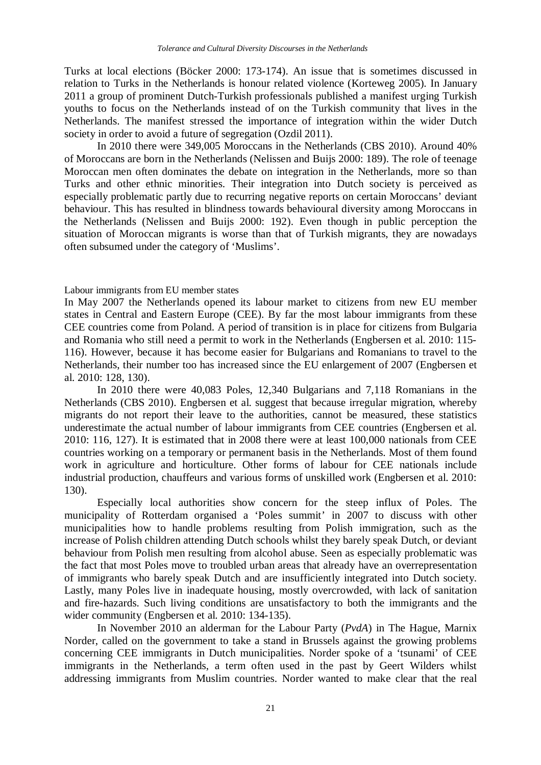Turks at local elections (Böcker 2000: 173-174). An issue that is sometimes discussed in relation to Turks in the Netherlands is honour related violence (Korteweg 2005). In January 2011 a group of prominent Dutch-Turkish professionals published a manifest urging Turkish youths to focus on the Netherlands instead of on the Turkish community that lives in the Netherlands. The manifest stressed the importance of integration within the wider Dutch society in order to avoid a future of segregation (Ozdil 2011).

In 2010 there were 349,005 Moroccans in the Netherlands (CBS 2010). Around 40% of Moroccans are born in the Netherlands (Nelissen and Buijs 2000: 189). The role of teenage Moroccan men often dominates the debate on integration in the Netherlands, more so than Turks and other ethnic minorities. Their integration into Dutch society is perceived as especially problematic partly due to recurring negative reports on certain Moroccans' deviant behaviour. This has resulted in blindness towards behavioural diversity among Moroccans in the Netherlands (Nelissen and Buijs 2000: 192). Even though in public perception the situation of Moroccan migrants is worse than that of Turkish migrants, they are nowadays often subsumed under the category of 'Muslims'.

#### Labour immigrants from EU member states

In May 2007 the Netherlands opened its labour market to citizens from new EU member states in Central and Eastern Europe (CEE). By far the most labour immigrants from these CEE countries come from Poland. A period of transition is in place for citizens from Bulgaria and Romania who still need a permit to work in the Netherlands (Engbersen et al. 2010: 115- 116). However, because it has become easier for Bulgarians and Romanians to travel to the Netherlands, their number too has increased since the EU enlargement of 2007 (Engbersen et al. 2010: 128, 130).

In 2010 there were 40,083 Poles, 12,340 Bulgarians and 7,118 Romanians in the Netherlands (CBS 2010). Engbersen et al. suggest that because irregular migration, whereby migrants do not report their leave to the authorities, cannot be measured, these statistics underestimate the actual number of labour immigrants from CEE countries (Engbersen et al. 2010: 116, 127). It is estimated that in 2008 there were at least 100,000 nationals from CEE countries working on a temporary or permanent basis in the Netherlands. Most of them found work in agriculture and horticulture. Other forms of labour for CEE nationals include industrial production, chauffeurs and various forms of unskilled work (Engbersen et al. 2010: 130).

Especially local authorities show concern for the steep influx of Poles. The municipality of Rotterdam organised a 'Poles summit' in 2007 to discuss with other municipalities how to handle problems resulting from Polish immigration, such as the increase of Polish children attending Dutch schools whilst they barely speak Dutch, or deviant behaviour from Polish men resulting from alcohol abuse. Seen as especially problematic was the fact that most Poles move to troubled urban areas that already have an overrepresentation of immigrants who barely speak Dutch and are insufficiently integrated into Dutch society. Lastly, many Poles live in inadequate housing, mostly overcrowded, with lack of sanitation and fire-hazards. Such living conditions are unsatisfactory to both the immigrants and the wider community (Engbersen et al. 2010: 134-135).

In November 2010 an alderman for the Labour Party (*PvdA*) in The Hague, Marnix Norder, called on the government to take a stand in Brussels against the growing problems concerning CEE immigrants in Dutch municipalities. Norder spoke of a 'tsunami' of CEE immigrants in the Netherlands, a term often used in the past by Geert Wilders whilst addressing immigrants from Muslim countries. Norder wanted to make clear that the real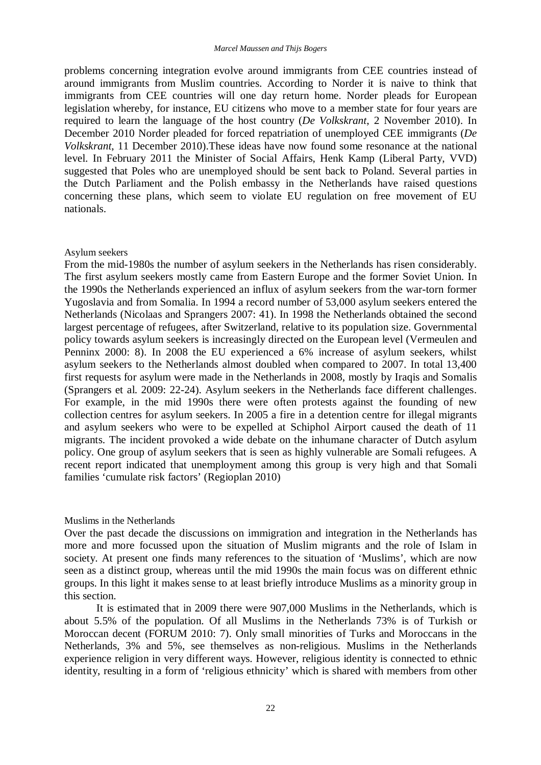problems concerning integration evolve around immigrants from CEE countries instead of around immigrants from Muslim countries. According to Norder it is naive to think that immigrants from CEE countries will one day return home. Norder pleads for European legislation whereby, for instance, EU citizens who move to a member state for four years are required to learn the language of the host country (*De Volkskrant*, 2 November 2010). In December 2010 Norder pleaded for forced repatriation of unemployed CEE immigrants (*De Volkskrant*, 11 December 2010).These ideas have now found some resonance at the national level. In February 2011 the Minister of Social Affairs, Henk Kamp (Liberal Party, VVD) suggested that Poles who are unemployed should be sent back to Poland. Several parties in the Dutch Parliament and the Polish embassy in the Netherlands have raised questions concerning these plans, which seem to violate EU regulation on free movement of EU nationals.

#### Asylum seekers

From the mid-1980s the number of asylum seekers in the Netherlands has risen considerably. The first asylum seekers mostly came from Eastern Europe and the former Soviet Union. In the 1990s the Netherlands experienced an influx of asylum seekers from the war-torn former Yugoslavia and from Somalia. In 1994 a record number of 53,000 asylum seekers entered the Netherlands (Nicolaas and Sprangers 2007: 41). In 1998 the Netherlands obtained the second largest percentage of refugees, after Switzerland, relative to its population size. Governmental policy towards asylum seekers is increasingly directed on the European level (Vermeulen and Penninx 2000: 8). In 2008 the EU experienced a 6% increase of asylum seekers, whilst asylum seekers to the Netherlands almost doubled when compared to 2007. In total 13,400 first requests for asylum were made in the Netherlands in 2008, mostly by Iraqis and Somalis (Sprangers et al. 2009: 22-24). Asylum seekers in the Netherlands face different challenges. For example, in the mid 1990s there were often protests against the founding of new collection centres for asylum seekers. In 2005 a fire in a detention centre for illegal migrants and asylum seekers who were to be expelled at Schiphol Airport caused the death of 11 migrants. The incident provoked a wide debate on the inhumane character of Dutch asylum policy. One group of asylum seekers that is seen as highly vulnerable are Somali refugees. A recent report indicated that unemployment among this group is very high and that Somali families 'cumulate risk factors' (Regioplan 2010)

#### Muslims in the Netherlands

Over the past decade the discussions on immigration and integration in the Netherlands has more and more focussed upon the situation of Muslim migrants and the role of Islam in society. At present one finds many references to the situation of 'Muslims', which are now seen as a distinct group, whereas until the mid 1990s the main focus was on different ethnic groups. In this light it makes sense to at least briefly introduce Muslims as a minority group in this section.

It is estimated that in 2009 there were 907,000 Muslims in the Netherlands, which is about 5.5% of the population. Of all Muslims in the Netherlands 73% is of Turkish or Moroccan decent (FORUM 2010: 7). Only small minorities of Turks and Moroccans in the Netherlands, 3% and 5%, see themselves as non-religious. Muslims in the Netherlands experience religion in very different ways. However, religious identity is connected to ethnic identity, resulting in a form of 'religious ethnicity' which is shared with members from other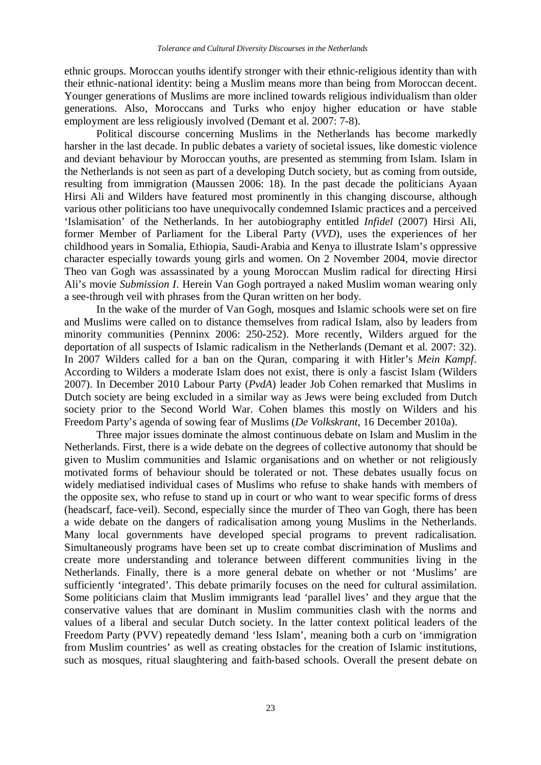ethnic groups. Moroccan youths identify stronger with their ethnic-religious identity than with their ethnic-national identity: being a Muslim means more than being from Moroccan decent. Younger generations of Muslims are more inclined towards religious individualism than older generations. Also, Moroccans and Turks who enjoy higher education or have stable employment are less religiously involved (Demant et al. 2007: 7-8).

Political discourse concerning Muslims in the Netherlands has become markedly harsher in the last decade. In public debates a variety of societal issues, like domestic violence and deviant behaviour by Moroccan youths, are presented as stemming from Islam. Islam in the Netherlands is not seen as part of a developing Dutch society, but as coming from outside, resulting from immigration (Maussen 2006: 18). In the past decade the politicians Ayaan Hirsi Ali and Wilders have featured most prominently in this changing discourse, although various other politicians too have unequivocally condemned Islamic practices and a perceived 'Islamisation' of the Netherlands. In her autobiography entitled *Infidel* (2007) Hirsi Ali, former Member of Parliament for the Liberal Party (*VVD*), uses the experiences of her childhood years in Somalia, Ethiopia, Saudi-Arabia and Kenya to illustrate Islam's oppressive character especially towards young girls and women. On 2 November 2004, movie director Theo van Gogh was assassinated by a young Moroccan Muslim radical for directing Hirsi Ali's movie *Submission I*. Herein Van Gogh portrayed a naked Muslim woman wearing only a see-through veil with phrases from the Quran written on her body.

In the wake of the murder of Van Gogh, mosques and Islamic schools were set on fire and Muslims were called on to distance themselves from radical Islam, also by leaders from minority communities (Penninx 2006: 250-252). More recently, Wilders argued for the deportation of all suspects of Islamic radicalism in the Netherlands (Demant et al. 2007: 32). In 2007 Wilders called for a ban on the Quran, comparing it with Hitler's *Mein Kampf*. According to Wilders a moderate Islam does not exist, there is only a fascist Islam (Wilders 2007). In December 2010 Labour Party (*PvdA*) leader Job Cohen remarked that Muslims in Dutch society are being excluded in a similar way as Jews were being excluded from Dutch society prior to the Second World War. Cohen blames this mostly on Wilders and his Freedom Party's agenda of sowing fear of Muslims (*De Volkskrant*, 16 December 2010a).

Three major issues dominate the almost continuous debate on Islam and Muslim in the Netherlands. First, there is a wide debate on the degrees of collective autonomy that should be given to Muslim communities and Islamic organisations and on whether or not religiously motivated forms of behaviour should be tolerated or not. These debates usually focus on widely mediatised individual cases of Muslims who refuse to shake hands with members of the opposite sex, who refuse to stand up in court or who want to wear specific forms of dress (headscarf, face-veil). Second, especially since the murder of Theo van Gogh, there has been a wide debate on the dangers of radicalisation among young Muslims in the Netherlands. Many local governments have developed special programs to prevent radicalisation. Simultaneously programs have been set up to create combat discrimination of Muslims and create more understanding and tolerance between different communities living in the Netherlands. Finally, there is a more general debate on whether or not 'Muslims' are sufficiently 'integrated'. This debate primarily focuses on the need for cultural assimilation. Some politicians claim that Muslim immigrants lead 'parallel lives' and they argue that the conservative values that are dominant in Muslim communities clash with the norms and values of a liberal and secular Dutch society. In the latter context political leaders of the Freedom Party (PVV) repeatedly demand 'less Islam', meaning both a curb on 'immigration from Muslim countries' as well as creating obstacles for the creation of Islamic institutions, such as mosques, ritual slaughtering and faith-based schools. Overall the present debate on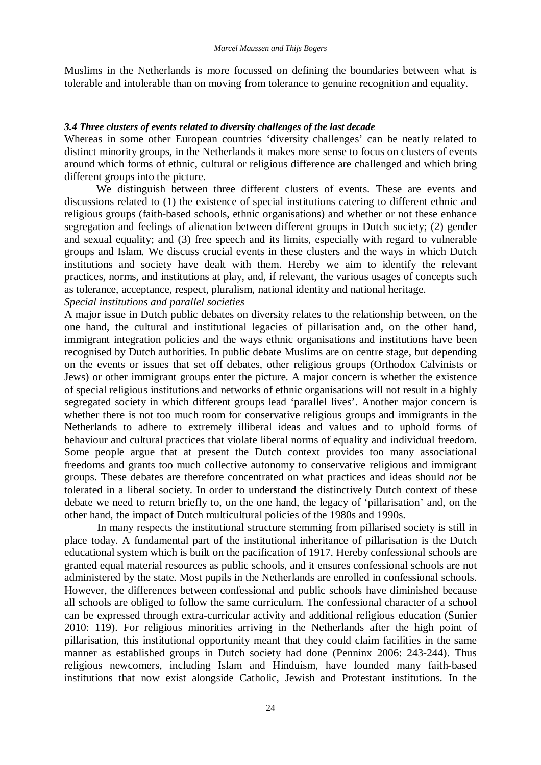Muslims in the Netherlands is more focussed on defining the boundaries between what is tolerable and intolerable than on moving from tolerance to genuine recognition and equality.

# *3.4 Three clusters of events related to diversity challenges of the last decade*

Whereas in some other European countries 'diversity challenges' can be neatly related to distinct minority groups, in the Netherlands it makes more sense to focus on clusters of events around which forms of ethnic, cultural or religious difference are challenged and which bring different groups into the picture.

We distinguish between three different clusters of events. These are events and discussions related to (1) the existence of special institutions catering to different ethnic and religious groups (faith-based schools, ethnic organisations) and whether or not these enhance segregation and feelings of alienation between different groups in Dutch society; (2) gender and sexual equality; and (3) free speech and its limits, especially with regard to vulnerable groups and Islam. We discuss crucial events in these clusters and the ways in which Dutch institutions and society have dealt with them. Hereby we aim to identify the relevant practices, norms, and institutions at play, and, if relevant, the various usages of concepts such as tolerance, acceptance, respect, pluralism, national identity and national heritage.

# *Special institutions and parallel societies*

A major issue in Dutch public debates on diversity relates to the relationship between, on the one hand, the cultural and institutional legacies of pillarisation and, on the other hand, immigrant integration policies and the ways ethnic organisations and institutions have been recognised by Dutch authorities. In public debate Muslims are on centre stage, but depending on the events or issues that set off debates, other religious groups (Orthodox Calvinists or Jews) or other immigrant groups enter the picture. A major concern is whether the existence of special religious institutions and networks of ethnic organisations will not result in a highly segregated society in which different groups lead 'parallel lives'. Another major concern is whether there is not too much room for conservative religious groups and immigrants in the Netherlands to adhere to extremely illiberal ideas and values and to uphold forms of behaviour and cultural practices that violate liberal norms of equality and individual freedom. Some people argue that at present the Dutch context provides too many associational freedoms and grants too much collective autonomy to conservative religious and immigrant groups. These debates are therefore concentrated on what practices and ideas should *not* be tolerated in a liberal society. In order to understand the distinctively Dutch context of these debate we need to return briefly to, on the one hand, the legacy of 'pillarisation' and, on the other hand, the impact of Dutch multicultural policies of the 1980s and 1990s.

In many respects the institutional structure stemming from pillarised society is still in place today. A fundamental part of the institutional inheritance of pillarisation is the Dutch educational system which is built on the pacification of 1917. Hereby confessional schools are granted equal material resources as public schools, and it ensures confessional schools are not administered by the state. Most pupils in the Netherlands are enrolled in confessional schools. However, the differences between confessional and public schools have diminished because all schools are obliged to follow the same curriculum. The confessional character of a school can be expressed through extra-curricular activity and additional religious education (Sunier 2010: 119). For religious minorities arriving in the Netherlands after the high point of pillarisation, this institutional opportunity meant that they could claim facilities in the same manner as established groups in Dutch society had done (Penninx 2006: 243-244). Thus religious newcomers, including Islam and Hinduism, have founded many faith-based institutions that now exist alongside Catholic, Jewish and Protestant institutions. In the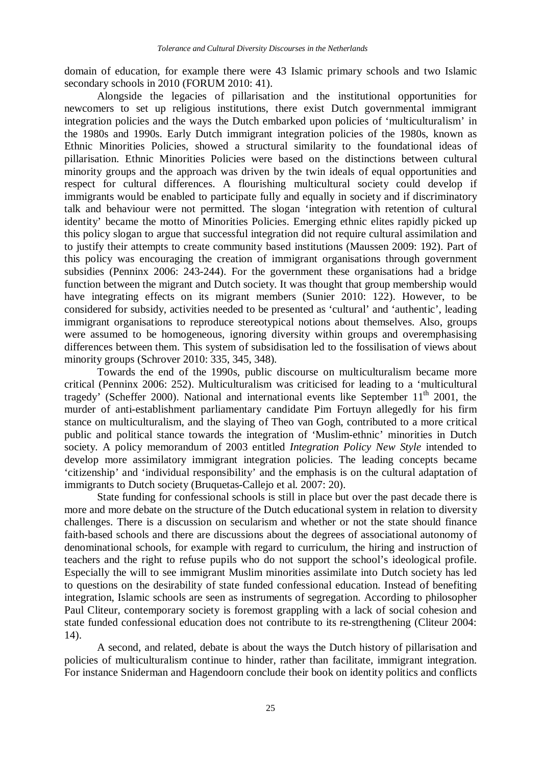domain of education, for example there were 43 Islamic primary schools and two Islamic secondary schools in 2010 (FORUM 2010: 41).

Alongside the legacies of pillarisation and the institutional opportunities for newcomers to set up religious institutions, there exist Dutch governmental immigrant integration policies and the ways the Dutch embarked upon policies of 'multiculturalism' in the 1980s and 1990s. Early Dutch immigrant integration policies of the 1980s, known as Ethnic Minorities Policies, showed a structural similarity to the foundational ideas of pillarisation. Ethnic Minorities Policies were based on the distinctions between cultural minority groups and the approach was driven by the twin ideals of equal opportunities and respect for cultural differences. A flourishing multicultural society could develop if immigrants would be enabled to participate fully and equally in society and if discriminatory talk and behaviour were not permitted. The slogan 'integration with retention of cultural identity' became the motto of Minorities Policies. Emerging ethnic elites rapidly picked up this policy slogan to argue that successful integration did not require cultural assimilation and to justify their attempts to create community based institutions (Maussen 2009: 192). Part of this policy was encouraging the creation of immigrant organisations through government subsidies (Penninx 2006: 243-244). For the government these organisations had a bridge function between the migrant and Dutch society. It was thought that group membership would have integrating effects on its migrant members (Sunier 2010: 122). However, to be considered for subsidy, activities needed to be presented as 'cultural' and 'authentic', leading immigrant organisations to reproduce stereotypical notions about themselves. Also, groups were assumed to be homogeneous, ignoring diversity within groups and overemphasising differences between them. This system of subsidisation led to the fossilisation of views about minority groups (Schrover 2010: 335, 345, 348).

Towards the end of the 1990s, public discourse on multiculturalism became more critical (Penninx 2006: 252). Multiculturalism was criticised for leading to a 'multicultural tragedy' (Scheffer 2000). National and international events like September  $11<sup>th</sup>$  2001, the murder of anti-establishment parliamentary candidate Pim Fortuyn allegedly for his firm stance on multiculturalism, and the slaying of Theo van Gogh, contributed to a more critical public and political stance towards the integration of 'Muslim-ethnic' minorities in Dutch society. A policy memorandum of 2003 entitled *Integration Policy New Style* intended to develop more assimilatory immigrant integration policies. The leading concepts became 'citizenship' and 'individual responsibility' and the emphasis is on the cultural adaptation of immigrants to Dutch society (Bruquetas-Callejo et al. 2007: 20).

State funding for confessional schools is still in place but over the past decade there is more and more debate on the structure of the Dutch educational system in relation to diversity challenges. There is a discussion on secularism and whether or not the state should finance faith-based schools and there are discussions about the degrees of associational autonomy of denominational schools, for example with regard to curriculum, the hiring and instruction of teachers and the right to refuse pupils who do not support the school's ideological profile. Especially the will to see immigrant Muslim minorities assimilate into Dutch society has led to questions on the desirability of state funded confessional education. Instead of benefiting integration, Islamic schools are seen as instruments of segregation. According to philosopher Paul Cliteur, contemporary society is foremost grappling with a lack of social cohesion and state funded confessional education does not contribute to its re-strengthening (Cliteur 2004: 14).

A second, and related, debate is about the ways the Dutch history of pillarisation and policies of multiculturalism continue to hinder, rather than facilitate, immigrant integration. For instance Sniderman and Hagendoorn conclude their book on identity politics and conflicts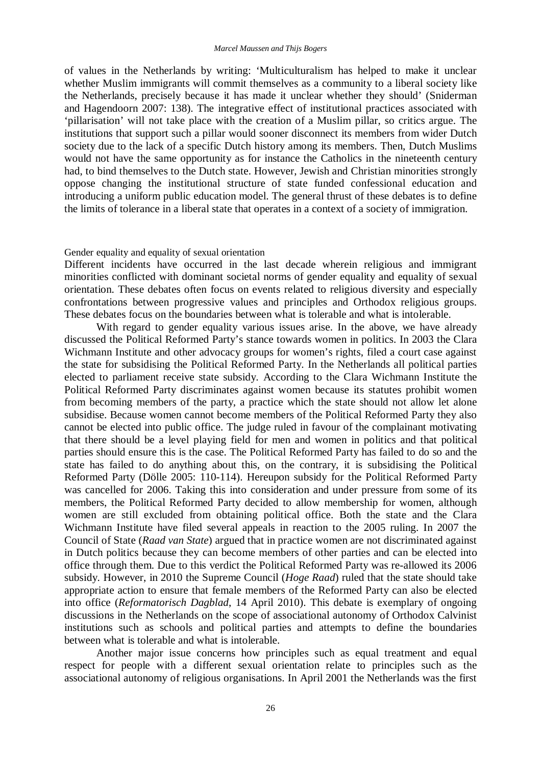of values in the Netherlands by writing: 'Multiculturalism has helped to make it unclear whether Muslim immigrants will commit themselves as a community to a liberal society like the Netherlands, precisely because it has made it unclear whether they should' (Sniderman and Hagendoorn 2007: 138). The integrative effect of institutional practices associated with 'pillarisation' will not take place with the creation of a Muslim pillar, so critics argue. The institutions that support such a pillar would sooner disconnect its members from wider Dutch society due to the lack of a specific Dutch history among its members. Then, Dutch Muslims would not have the same opportunity as for instance the Catholics in the nineteenth century had, to bind themselves to the Dutch state. However, Jewish and Christian minorities strongly oppose changing the institutional structure of state funded confessional education and introducing a uniform public education model. The general thrust of these debates is to define the limits of tolerance in a liberal state that operates in a context of a society of immigration.

#### Gender equality and equality of sexual orientation

Different incidents have occurred in the last decade wherein religious and immigrant minorities conflicted with dominant societal norms of gender equality and equality of sexual orientation. These debates often focus on events related to religious diversity and especially confrontations between progressive values and principles and Orthodox religious groups. These debates focus on the boundaries between what is tolerable and what is intolerable.

With regard to gender equality various issues arise. In the above, we have already discussed the Political Reformed Party's stance towards women in politics. In 2003 the Clara Wichmann Institute and other advocacy groups for women's rights, filed a court case against the state for subsidising the Political Reformed Party. In the Netherlands all political parties elected to parliament receive state subsidy. According to the Clara Wichmann Institute the Political Reformed Party discriminates against women because its statutes prohibit women from becoming members of the party, a practice which the state should not allow let alone subsidise. Because women cannot become members of the Political Reformed Party they also cannot be elected into public office. The judge ruled in favour of the complainant motivating that there should be a level playing field for men and women in politics and that political parties should ensure this is the case. The Political Reformed Party has failed to do so and the state has failed to do anything about this, on the contrary, it is subsidising the Political Reformed Party (Dölle 2005: 110-114). Hereupon subsidy for the Political Reformed Party was cancelled for 2006. Taking this into consideration and under pressure from some of its members, the Political Reformed Party decided to allow membership for women, although women are still excluded from obtaining political office. Both the state and the Clara Wichmann Institute have filed several appeals in reaction to the 2005 ruling. In 2007 the Council of State (*Raad van State*) argued that in practice women are not discriminated against in Dutch politics because they can become members of other parties and can be elected into office through them. Due to this verdict the Political Reformed Party was re-allowed its 2006 subsidy. However, in 2010 the Supreme Council (*Hoge Raad*) ruled that the state should take appropriate action to ensure that female members of the Reformed Party can also be elected into office (*Reformatorisch Dagblad*, 14 April 2010). This debate is exemplary of ongoing discussions in the Netherlands on the scope of associational autonomy of Orthodox Calvinist institutions such as schools and political parties and attempts to define the boundaries between what is tolerable and what is intolerable.

Another major issue concerns how principles such as equal treatment and equal respect for people with a different sexual orientation relate to principles such as the associational autonomy of religious organisations. In April 2001 the Netherlands was the first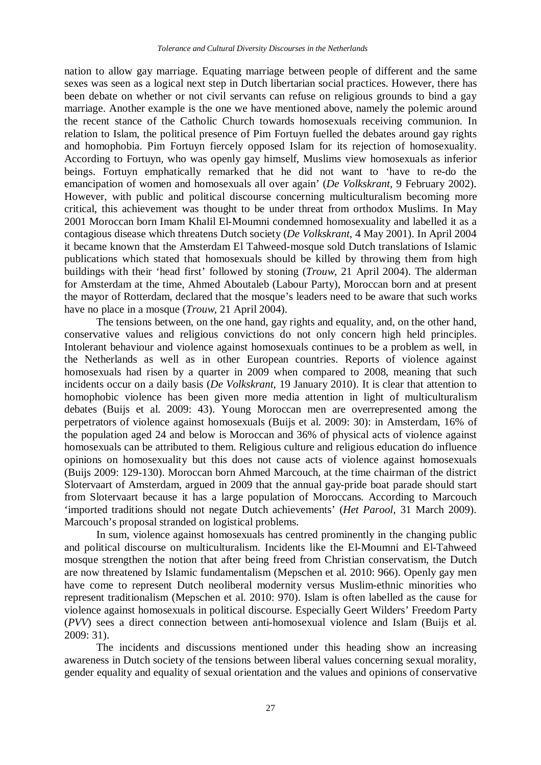nation to allow gay marriage. Equating marriage between people of different and the same sexes was seen as a logical next step in Dutch libertarian social practices. However, there has been debate on whether or not civil servants can refuse on religious grounds to bind a gay marriage. Another example is the one we have mentioned above, namely the polemic around the recent stance of the Catholic Church towards homosexuals receiving communion. In relation to Islam, the political presence of Pim Fortuyn fuelled the debates around gay rights and homophobia. Pim Fortuyn fiercely opposed Islam for its rejection of homosexuality. According to Fortuyn, who was openly gay himself, Muslims view homosexuals as inferior beings. Fortuyn emphatically remarked that he did not want to 'have to re-do the emancipation of women and homosexuals all over again' (*De Volkskrant*, 9 February 2002). However, with public and political discourse concerning multiculturalism becoming more critical, this achievement was thought to be under threat from orthodox Muslims. In May 2001 Moroccan born Imam Khalil El-Moumni condemned homosexuality and labelled it as a contagious disease which threatens Dutch society (*De Volkskrant*, 4 May 2001). In April 2004 it became known that the Amsterdam El Tahweed-mosque sold Dutch translations of Islamic publications which stated that homosexuals should be killed by throwing them from high buildings with their 'head first' followed by stoning (*Trouw*, 21 April 2004). The alderman for Amsterdam at the time, Ahmed Aboutaleb (Labour Party), Moroccan born and at present the mayor of Rotterdam, declared that the mosque's leaders need to be aware that such works have no place in a mosque (*Trouw*, 21 April 2004).

The tensions between, on the one hand, gay rights and equality, and, on the other hand, conservative values and religious convictions do not only concern high held principles. Intolerant behaviour and violence against homosexuals continues to be a problem as well, in the Netherlands as well as in other European countries. Reports of violence against homosexuals had risen by a quarter in 2009 when compared to 2008, meaning that such incidents occur on a daily basis (*De Volkskrant*, 19 January 2010). It is clear that attention to homophobic violence has been given more media attention in light of multiculturalism debates (Buijs et al. 2009: 43). Young Moroccan men are overrepresented among the perpetrators of violence against homosexuals (Buijs et al. 2009: 30): in Amsterdam, 16% of the population aged 24 and below is Moroccan and 36% of physical acts of violence against homosexuals can be attributed to them. Religious culture and religious education do influence opinions on homosexuality but this does not cause acts of violence against homosexuals (Buijs 2009: 129-130). Moroccan born Ahmed Marcouch, at the time chairman of the district Slotervaart of Amsterdam, argued in 2009 that the annual gay-pride boat parade should start from Slotervaart because it has a large population of Moroccans. According to Marcouch 'imported traditions should not negate Dutch achievements' (*Het Parool*, 31 March 2009). Marcouch's proposal stranded on logistical problems.

In sum, violence against homosexuals has centred prominently in the changing public and political discourse on multiculturalism. Incidents like the El-Moumni and El-Tahweed mosque strengthen the notion that after being freed from Christian conservatism, the Dutch are now threatened by Islamic fundamentalism (Mepschen et al. 2010: 966). Openly gay men have come to represent Dutch neoliberal modernity versus Muslim-ethnic minorities who represent traditionalism (Mepschen et al. 2010: 970). Islam is often labelled as the cause for violence against homosexuals in political discourse. Especially Geert Wilders' Freedom Party (*PVV*) sees a direct connection between anti-homosexual violence and Islam (Buijs et al. 2009: 31).

The incidents and discussions mentioned under this heading show an increasing awareness in Dutch society of the tensions between liberal values concerning sexual morality, gender equality and equality of sexual orientation and the values and opinions of conservative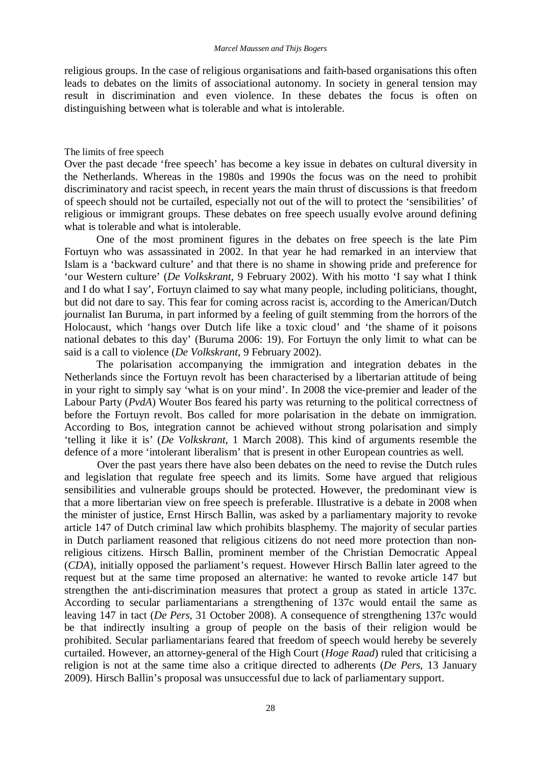religious groups. In the case of religious organisations and faith-based organisations this often leads to debates on the limits of associational autonomy. In society in general tension may result in discrimination and even violence. In these debates the focus is often on distinguishing between what is tolerable and what is intolerable.

#### The limits of free speech

Over the past decade 'free speech' has become a key issue in debates on cultural diversity in the Netherlands. Whereas in the 1980s and 1990s the focus was on the need to prohibit discriminatory and racist speech, in recent years the main thrust of discussions is that freedom of speech should not be curtailed, especially not out of the will to protect the 'sensibilities' of religious or immigrant groups. These debates on free speech usually evolve around defining what is tolerable and what is intolerable.

One of the most prominent figures in the debates on free speech is the late Pim Fortuyn who was assassinated in 2002. In that year he had remarked in an interview that Islam is a 'backward culture' and that there is no shame in showing pride and preference for 'our Western culture' (*De Volkskrant*, 9 February 2002). With his motto 'I say what I think and I do what I say', Fortuyn claimed to say what many people, including politicians, thought, but did not dare to say. This fear for coming across racist is, according to the American/Dutch journalist Ian Buruma, in part informed by a feeling of guilt stemming from the horrors of the Holocaust, which 'hangs over Dutch life like a toxic cloud' and 'the shame of it poisons national debates to this day' (Buruma 2006: 19). For Fortuyn the only limit to what can be said is a call to violence (*De Volkskrant*, 9 February 2002).

The polarisation accompanying the immigration and integration debates in the Netherlands since the Fortuyn revolt has been characterised by a libertarian attitude of being in your right to simply say 'what is on your mind'. In 2008 the vice-premier and leader of the Labour Party (*PvdA*) Wouter Bos feared his party was returning to the political correctness of before the Fortuyn revolt. Bos called for more polarisation in the debate on immigration. According to Bos, integration cannot be achieved without strong polarisation and simply 'telling it like it is' (*De Volkskrant*, 1 March 2008). This kind of arguments resemble the defence of a more 'intolerant liberalism' that is present in other European countries as well.

Over the past years there have also been debates on the need to revise the Dutch rules and legislation that regulate free speech and its limits. Some have argued that religious sensibilities and vulnerable groups should be protected. However, the predominant view is that a more libertarian view on free speech is preferable. Illustrative is a debate in 2008 when the minister of justice, Ernst Hirsch Ballin, was asked by a parliamentary majority to revoke article 147 of Dutch criminal law which prohibits blasphemy. The majority of secular parties in Dutch parliament reasoned that religious citizens do not need more protection than nonreligious citizens. Hirsch Ballin, prominent member of the Christian Democratic Appeal (*CDA*), initially opposed the parliament's request. However Hirsch Ballin later agreed to the request but at the same time proposed an alternative: he wanted to revoke article 147 but strengthen the anti-discrimination measures that protect a group as stated in article 137c. According to secular parliamentarians a strengthening of 137c would entail the same as leaving 147 in tact (*De Pers*, 31 October 2008). A consequence of strengthening 137c would be that indirectly insulting a group of people on the basis of their religion would be prohibited. Secular parliamentarians feared that freedom of speech would hereby be severely curtailed. However, an attorney-general of the High Court (*Hoge Raad*) ruled that criticising a religion is not at the same time also a critique directed to adherents (*De Pers*, 13 January 2009). Hirsch Ballin's proposal was unsuccessful due to lack of parliamentary support.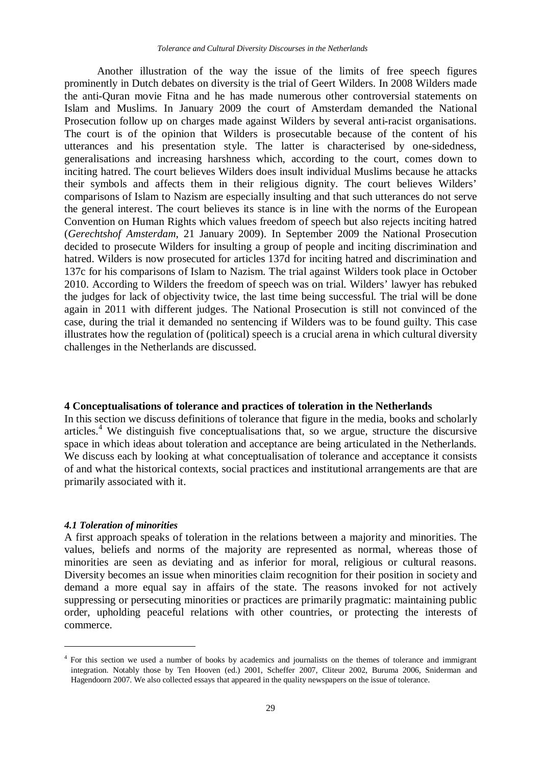Another illustration of the way the issue of the limits of free speech figures prominently in Dutch debates on diversity is the trial of Geert Wilders. In 2008 Wilders made the anti-Quran movie Fitna and he has made numerous other controversial statements on Islam and Muslims. In January 2009 the court of Amsterdam demanded the National Prosecution follow up on charges made against Wilders by several anti-racist organisations. The court is of the opinion that Wilders is prosecutable because of the content of his utterances and his presentation style. The latter is characterised by one-sidedness, generalisations and increasing harshness which, according to the court, comes down to inciting hatred. The court believes Wilders does insult individual Muslims because he attacks their symbols and affects them in their religious dignity. The court believes Wilders' comparisons of Islam to Nazism are especially insulting and that such utterances do not serve the general interest. The court believes its stance is in line with the norms of the European Convention on Human Rights which values freedom of speech but also rejects inciting hatred (*Gerechtshof Amsterdam*, 21 January 2009). In September 2009 the National Prosecution decided to prosecute Wilders for insulting a group of people and inciting discrimination and hatred. Wilders is now prosecuted for articles 137d for inciting hatred and discrimination and 137c for his comparisons of Islam to Nazism. The trial against Wilders took place in October 2010. According to Wilders the freedom of speech was on trial. Wilders' lawyer has rebuked the judges for lack of objectivity twice, the last time being successful. The trial will be done again in 2011 with different judges. The National Prosecution is still not convinced of the case, during the trial it demanded no sentencing if Wilders was to be found guilty. This case illustrates how the regulation of (political) speech is a crucial arena in which cultural diversity challenges in the Netherlands are discussed.

#### **4 Conceptualisations of tolerance and practices of toleration in the Netherlands**

In this section we discuss definitions of tolerance that figure in the media, books and scholarly articles.<sup>4</sup> We distinguish five conceptualisations that, so we argue, structure the discursive space in which ideas about toleration and acceptance are being articulated in the Netherlands. We discuss each by looking at what conceptualisation of tolerance and acceptance it consists of and what the historical contexts, social practices and institutional arrangements are that are primarily associated with it.

#### *4.1 Toleration of minorities*

 $\overline{a}$ 

A first approach speaks of toleration in the relations between a majority and minorities. The values, beliefs and norms of the majority are represented as normal, whereas those of minorities are seen as deviating and as inferior for moral, religious or cultural reasons. Diversity becomes an issue when minorities claim recognition for their position in society and demand a more equal say in affairs of the state. The reasons invoked for not actively suppressing or persecuting minorities or practices are primarily pragmatic: maintaining public order, upholding peaceful relations with other countries, or protecting the interests of commerce.

<sup>&</sup>lt;sup>4</sup> For this section we used a number of books by academics and journalists on the themes of tolerance and immigrant integration. Notably those by Ten Hooven (ed.) 2001, Scheffer 2007, Cliteur 2002, Buruma 2006, Sniderman and Hagendoorn 2007. We also collected essays that appeared in the quality newspapers on the issue of tolerance.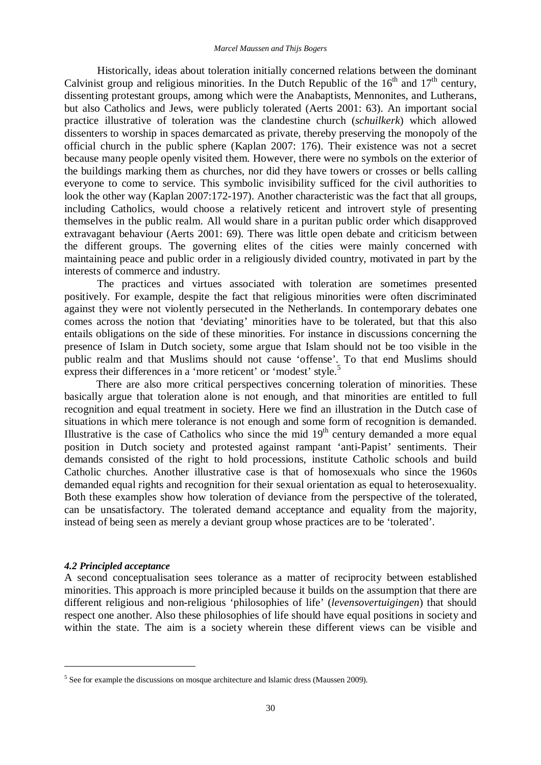Historically, ideas about toleration initially concerned relations between the dominant Calvinist group and religious minorities. In the Dutch Republic of the  $16<sup>th</sup>$  and  $17<sup>th</sup>$  century, dissenting protestant groups, among which were the Anabaptists, Mennonites, and Lutherans, but also Catholics and Jews, were publicly tolerated (Aerts 2001: 63). An important social practice illustrative of toleration was the clandestine church (*schuilkerk*) which allowed dissenters to worship in spaces demarcated as private, thereby preserving the monopoly of the official church in the public sphere (Kaplan 2007: 176). Their existence was not a secret because many people openly visited them. However, there were no symbols on the exterior of the buildings marking them as churches, nor did they have towers or crosses or bells calling everyone to come to service. This symbolic invisibility sufficed for the civil authorities to look the other way (Kaplan 2007:172-197). Another characteristic was the fact that all groups, including Catholics, would choose a relatively reticent and introvert style of presenting themselves in the public realm. All would share in a puritan public order which disapproved extravagant behaviour (Aerts 2001: 69). There was little open debate and criticism between the different groups. The governing elites of the cities were mainly concerned with maintaining peace and public order in a religiously divided country, motivated in part by the interests of commerce and industry.

The practices and virtues associated with toleration are sometimes presented positively. For example, despite the fact that religious minorities were often discriminated against they were not violently persecuted in the Netherlands. In contemporary debates one comes across the notion that 'deviating' minorities have to be tolerated, but that this also entails obligations on the side of these minorities. For instance in discussions concerning the presence of Islam in Dutch society, some argue that Islam should not be too visible in the public realm and that Muslims should not cause 'offense'. To that end Muslims should express their differences in a 'more reticent' or 'modest' style.<sup>5</sup>

There are also more critical perspectives concerning toleration of minorities. These basically argue that toleration alone is not enough, and that minorities are entitled to full recognition and equal treatment in society. Here we find an illustration in the Dutch case of situations in which mere tolerance is not enough and some form of recognition is demanded. Illustrative is the case of Catholics who since the mid  $19<sup>th</sup>$  century demanded a more equal position in Dutch society and protested against rampant 'anti-Papist' sentiments. Their demands consisted of the right to hold processions, institute Catholic schools and build Catholic churches. Another illustrative case is that of homosexuals who since the 1960s demanded equal rights and recognition for their sexual orientation as equal to heterosexuality. Both these examples show how toleration of deviance from the perspective of the tolerated, can be unsatisfactory. The tolerated demand acceptance and equality from the majority, instead of being seen as merely a deviant group whose practices are to be 'tolerated'.

#### *4.2 Principled acceptance*

 $\overline{a}$ 

A second conceptualisation sees tolerance as a matter of reciprocity between established minorities. This approach is more principled because it builds on the assumption that there are different religious and non-religious 'philosophies of life' (*levensovertuigingen*) that should respect one another. Also these philosophies of life should have equal positions in society and within the state. The aim is a society wherein these different views can be visible and

<sup>&</sup>lt;sup>5</sup> See for example the discussions on mosque architecture and Islamic dress (Maussen 2009).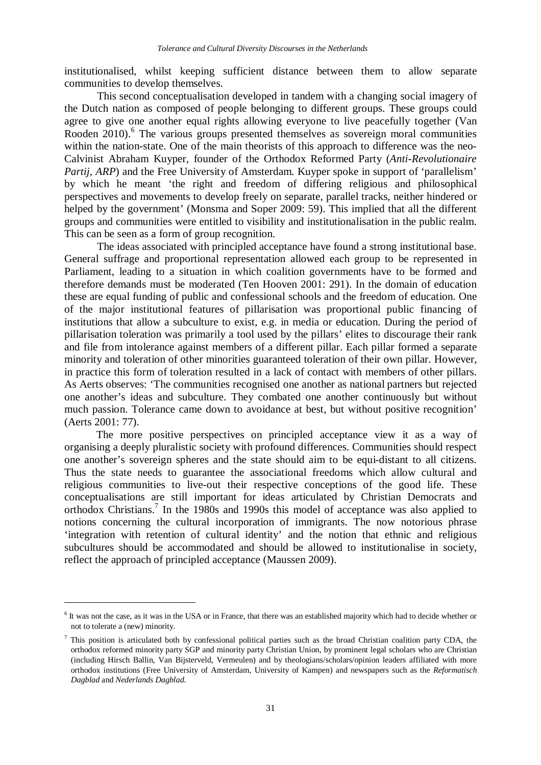institutionalised, whilst keeping sufficient distance between them to allow separate communities to develop themselves.

This second conceptualisation developed in tandem with a changing social imagery of the Dutch nation as composed of people belonging to different groups. These groups could agree to give one another equal rights allowing everyone to live peacefully together (Van Rooden 2010).<sup>6</sup> The various groups presented themselves as sovereign moral communities within the nation-state. One of the main theorists of this approach to difference was the neo-Calvinist Abraham Kuyper, founder of the Orthodox Reformed Party (*Anti-Revolutionaire Partij, ARP*) and the Free University of Amsterdam. Kuyper spoke in support of 'parallelism' by which he meant 'the right and freedom of differing religious and philosophical perspectives and movements to develop freely on separate, parallel tracks, neither hindered or helped by the government' (Monsma and Soper 2009: 59). This implied that all the different groups and communities were entitled to visibility and institutionalisation in the public realm. This can be seen as a form of group recognition.

The ideas associated with principled acceptance have found a strong institutional base. General suffrage and proportional representation allowed each group to be represented in Parliament, leading to a situation in which coalition governments have to be formed and therefore demands must be moderated (Ten Hooven 2001: 291). In the domain of education these are equal funding of public and confessional schools and the freedom of education. One of the major institutional features of pillarisation was proportional public financing of institutions that allow a subculture to exist, e.g. in media or education. During the period of pillarisation toleration was primarily a tool used by the pillars' elites to discourage their rank and file from intolerance against members of a different pillar. Each pillar formed a separate minority and toleration of other minorities guaranteed toleration of their own pillar. However, in practice this form of toleration resulted in a lack of contact with members of other pillars. As Aerts observes: 'The communities recognised one another as national partners but rejected one another's ideas and subculture. They combated one another continuously but without much passion. Tolerance came down to avoidance at best, but without positive recognition' (Aerts 2001: 77).

The more positive perspectives on principled acceptance view it as a way of organising a deeply pluralistic society with profound differences. Communities should respect one another's sovereign spheres and the state should aim to be equi-distant to all citizens. Thus the state needs to guarantee the associational freedoms which allow cultural and religious communities to live-out their respective conceptions of the good life. These conceptualisations are still important for ideas articulated by Christian Democrats and orthodox Christians.<sup>7</sup> In the 1980s and 1990s this model of acceptance was also applied to notions concerning the cultural incorporation of immigrants. The now notorious phrase 'integration with retention of cultural identity' and the notion that ethnic and religious subcultures should be accommodated and should be allowed to institutionalise in society, reflect the approach of principled acceptance (Maussen 2009).

 $\overline{a}$ 

<sup>&</sup>lt;sup>6</sup> It was not the case, as it was in the USA or in France, that there was an established majority which had to decide whether or not to tolerate a (new) minority.

 $\frac{7}{1}$  This position is articulated both by confessional political parties such as the broad Christian coalition party CDA, the orthodox reformed minority party SGP and minority party Christian Union, by prominent legal scholars who are Christian (including Hirsch Ballin, Van Bijsterveld, Vermeulen) and by theologians/scholars/opinion leaders affiliated with more orthodox institutions (Free University of Amsterdam, University of Kampen) and newspapers such as the *Reformatisch Dagblad* and *Nederlands Dagblad*.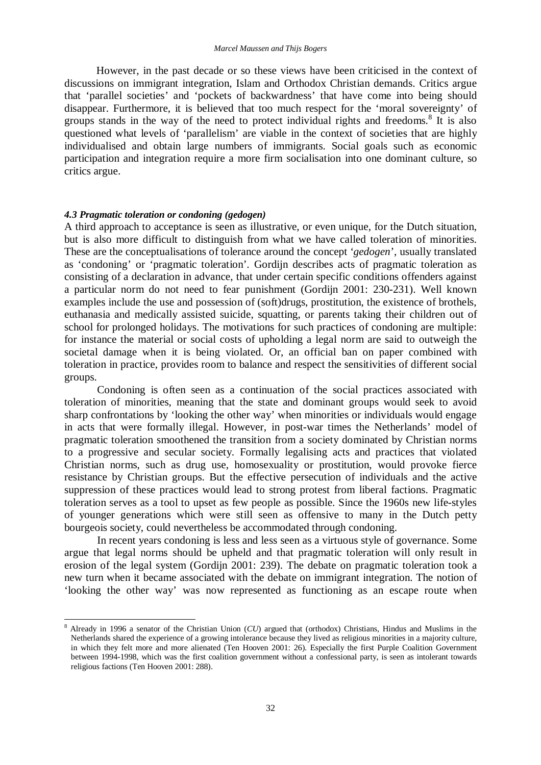However, in the past decade or so these views have been criticised in the context of discussions on immigrant integration, Islam and Orthodox Christian demands. Critics argue that 'parallel societies' and 'pockets of backwardness' that have come into being should disappear. Furthermore, it is believed that too much respect for the 'moral sovereignty' of groups stands in the way of the need to protect individual rights and freedoms.<sup>8</sup> It is also questioned what levels of 'parallelism' are viable in the context of societies that are highly individualised and obtain large numbers of immigrants. Social goals such as economic participation and integration require a more firm socialisation into one dominant culture, so critics argue.

#### *4.3 Pragmatic toleration or condoning (gedogen)*

 $\overline{a}$ 

A third approach to acceptance is seen as illustrative, or even unique, for the Dutch situation, but is also more difficult to distinguish from what we have called toleration of minorities. These are the conceptualisations of tolerance around the concept '*gedogen*', usually translated as 'condoning' or 'pragmatic toleration'. Gordijn describes acts of pragmatic toleration as consisting of a declaration in advance, that under certain specific conditions offenders against a particular norm do not need to fear punishment (Gordijn 2001: 230-231). Well known examples include the use and possession of (soft)drugs, prostitution, the existence of brothels, euthanasia and medically assisted suicide, squatting, or parents taking their children out of school for prolonged holidays. The motivations for such practices of condoning are multiple: for instance the material or social costs of upholding a legal norm are said to outweigh the societal damage when it is being violated. Or, an official ban on paper combined with toleration in practice, provides room to balance and respect the sensitivities of different social groups.

Condoning is often seen as a continuation of the social practices associated with toleration of minorities, meaning that the state and dominant groups would seek to avoid sharp confrontations by 'looking the other way' when minorities or individuals would engage in acts that were formally illegal. However, in post-war times the Netherlands' model of pragmatic toleration smoothened the transition from a society dominated by Christian norms to a progressive and secular society. Formally legalising acts and practices that violated Christian norms, such as drug use, homosexuality or prostitution, would provoke fierce resistance by Christian groups. But the effective persecution of individuals and the active suppression of these practices would lead to strong protest from liberal factions. Pragmatic toleration serves as a tool to upset as few people as possible. Since the 1960s new life-styles of younger generations which were still seen as offensive to many in the Dutch petty bourgeois society, could nevertheless be accommodated through condoning.

In recent years condoning is less and less seen as a virtuous style of governance. Some argue that legal norms should be upheld and that pragmatic toleration will only result in erosion of the legal system (Gordijn 2001: 239). The debate on pragmatic toleration took a new turn when it became associated with the debate on immigrant integration. The notion of 'looking the other way' was now represented as functioning as an escape route when

<sup>8</sup> Already in 1996 a senator of the Christian Union (*CU*) argued that (orthodox) Christians, Hindus and Muslims in the Netherlands shared the experience of a growing intolerance because they lived as religious minorities in a majority culture, in which they felt more and more alienated (Ten Hooven 2001: 26). Especially the first Purple Coalition Government between 1994-1998, which was the first coalition government without a confessional party, is seen as intolerant towards religious factions (Ten Hooven 2001: 288).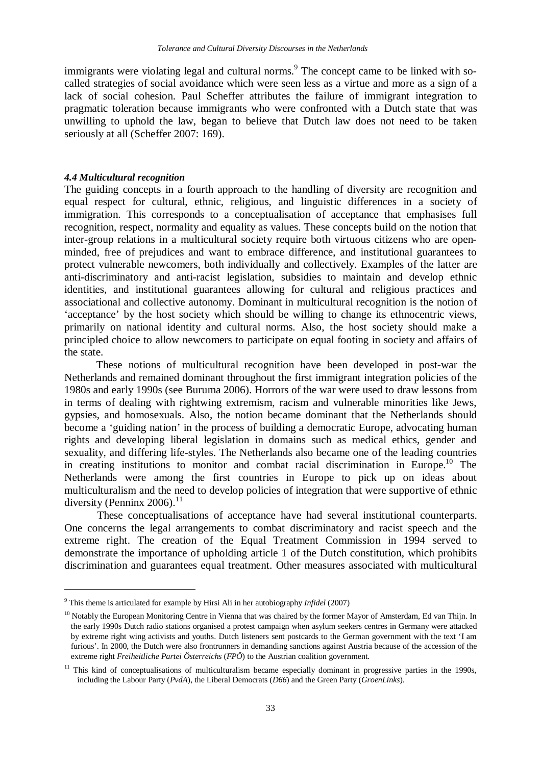immigrants were violating legal and cultural norms.<sup>9</sup> The concept came to be linked with socalled strategies of social avoidance which were seen less as a virtue and more as a sign of a lack of social cohesion. Paul Scheffer attributes the failure of immigrant integration to pragmatic toleration because immigrants who were confronted with a Dutch state that was unwilling to uphold the law, began to believe that Dutch law does not need to be taken seriously at all (Scheffer 2007: 169).

#### *4.4 Multicultural recognition*

 $\overline{a}$ 

The guiding concepts in a fourth approach to the handling of diversity are recognition and equal respect for cultural, ethnic, religious, and linguistic differences in a society of immigration. This corresponds to a conceptualisation of acceptance that emphasises full recognition, respect, normality and equality as values. These concepts build on the notion that inter-group relations in a multicultural society require both virtuous citizens who are openminded, free of prejudices and want to embrace difference, and institutional guarantees to protect vulnerable newcomers, both individually and collectively. Examples of the latter are anti-discriminatory and anti-racist legislation, subsidies to maintain and develop ethnic identities, and institutional guarantees allowing for cultural and religious practices and associational and collective autonomy. Dominant in multicultural recognition is the notion of 'acceptance' by the host society which should be willing to change its ethnocentric views, primarily on national identity and cultural norms. Also, the host society should make a principled choice to allow newcomers to participate on equal footing in society and affairs of the state.

These notions of multicultural recognition have been developed in post-war the Netherlands and remained dominant throughout the first immigrant integration policies of the 1980s and early 1990s (see Buruma 2006). Horrors of the war were used to draw lessons from in terms of dealing with rightwing extremism, racism and vulnerable minorities like Jews, gypsies, and homosexuals. Also, the notion became dominant that the Netherlands should become a 'guiding nation' in the process of building a democratic Europe, advocating human rights and developing liberal legislation in domains such as medical ethics, gender and sexuality, and differing life-styles. The Netherlands also became one of the leading countries in creating institutions to monitor and combat racial discrimination in Europe.<sup>10</sup> The Netherlands were among the first countries in Europe to pick up on ideas about multiculturalism and the need to develop policies of integration that were supportive of ethnic diversity (Penninx 2006). $^{11}$ 

These conceptualisations of acceptance have had several institutional counterparts. One concerns the legal arrangements to combat discriminatory and racist speech and the extreme right. The creation of the Equal Treatment Commission in 1994 served to demonstrate the importance of upholding article 1 of the Dutch constitution, which prohibits discrimination and guarantees equal treatment. Other measures associated with multicultural

<sup>9</sup> This theme is articulated for example by Hirsi Ali in her autobiography *Infidel* (2007)

<sup>&</sup>lt;sup>10</sup> Notably the European Monitoring Centre in Vienna that was chaired by the former Mayor of Amsterdam, Ed van Thijn. In the early 1990s Dutch radio stations organised a protest campaign when asylum seekers centres in Germany were attacked by extreme right wing activists and youths. Dutch listeners sent postcards to the German government with the text 'I am furious'. In 2000, the Dutch were also frontrunners in demanding sanctions against Austria because of the accession of the extreme right *Freiheitliche Partei Österreichs* (*FPÖ*) to the Austrian coalition government.

 $11$  This kind of conceptualisations of multiculturalism became especially dominant in progressive parties in the 1990s, including the Labour Party (*PvdA*), the Liberal Democrats (*D66*) and the Green Party (*GroenLinks*).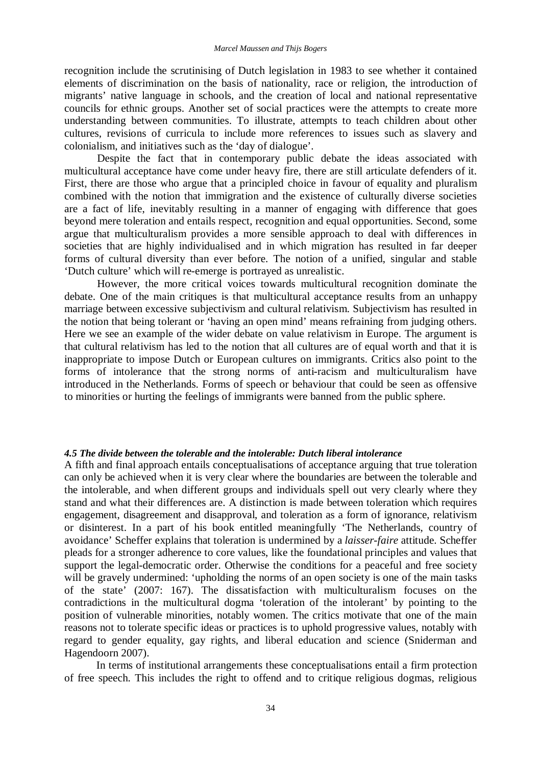recognition include the scrutinising of Dutch legislation in 1983 to see whether it contained elements of discrimination on the basis of nationality, race or religion, the introduction of migrants' native language in schools, and the creation of local and national representative councils for ethnic groups. Another set of social practices were the attempts to create more understanding between communities. To illustrate, attempts to teach children about other cultures, revisions of curricula to include more references to issues such as slavery and colonialism, and initiatives such as the 'day of dialogue'.

Despite the fact that in contemporary public debate the ideas associated with multicultural acceptance have come under heavy fire, there are still articulate defenders of it. First, there are those who argue that a principled choice in favour of equality and pluralism combined with the notion that immigration and the existence of culturally diverse societies are a fact of life, inevitably resulting in a manner of engaging with difference that goes beyond mere toleration and entails respect, recognition and equal opportunities. Second, some argue that multiculturalism provides a more sensible approach to deal with differences in societies that are highly individualised and in which migration has resulted in far deeper forms of cultural diversity than ever before. The notion of a unified, singular and stable 'Dutch culture' which will re-emerge is portrayed as unrealistic.

However, the more critical voices towards multicultural recognition dominate the debate. One of the main critiques is that multicultural acceptance results from an unhappy marriage between excessive subjectivism and cultural relativism. Subjectivism has resulted in the notion that being tolerant or 'having an open mind' means refraining from judging others. Here we see an example of the wider debate on value relativism in Europe. The argument is that cultural relativism has led to the notion that all cultures are of equal worth and that it is inappropriate to impose Dutch or European cultures on immigrants. Critics also point to the forms of intolerance that the strong norms of anti-racism and multiculturalism have introduced in the Netherlands. Forms of speech or behaviour that could be seen as offensive to minorities or hurting the feelings of immigrants were banned from the public sphere.

#### *4.5 The divide between the tolerable and the intolerable: Dutch liberal intolerance*

A fifth and final approach entails conceptualisations of acceptance arguing that true toleration can only be achieved when it is very clear where the boundaries are between the tolerable and the intolerable, and when different groups and individuals spell out very clearly where they stand and what their differences are. A distinction is made between toleration which requires engagement, disagreement and disapproval, and toleration as a form of ignorance, relativism or disinterest. In a part of his book entitled meaningfully 'The Netherlands, country of avoidance' Scheffer explains that toleration is undermined by a *laisser-faire* attitude. Scheffer pleads for a stronger adherence to core values, like the foundational principles and values that support the legal-democratic order. Otherwise the conditions for a peaceful and free society will be gravely undermined: 'upholding the norms of an open society is one of the main tasks of the state' (2007: 167). The dissatisfaction with multiculturalism focuses on the contradictions in the multicultural dogma 'toleration of the intolerant' by pointing to the position of vulnerable minorities, notably women. The critics motivate that one of the main reasons not to tolerate specific ideas or practices is to uphold progressive values, notably with regard to gender equality, gay rights, and liberal education and science (Sniderman and Hagendoorn 2007).

In terms of institutional arrangements these conceptualisations entail a firm protection of free speech. This includes the right to offend and to critique religious dogmas, religious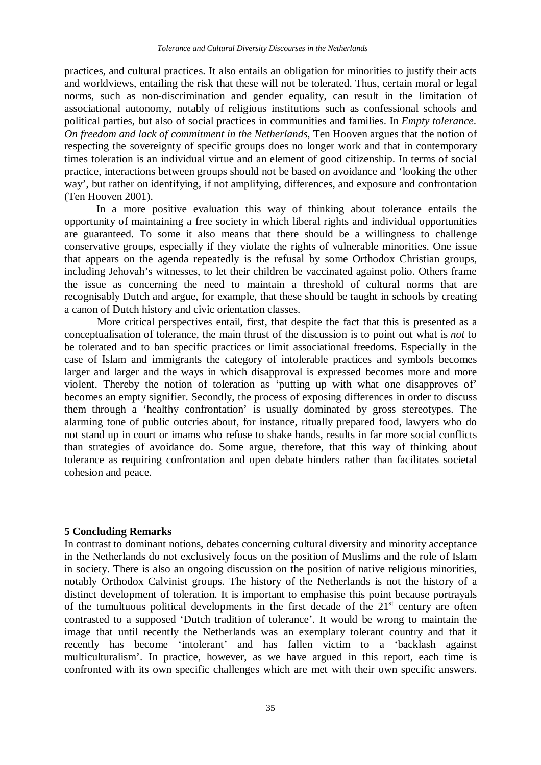practices, and cultural practices. It also entails an obligation for minorities to justify their acts and worldviews, entailing the risk that these will not be tolerated. Thus, certain moral or legal norms, such as non-discrimination and gender equality, can result in the limitation of associational autonomy, notably of religious institutions such as confessional schools and political parties, but also of social practices in communities and families. In *Empty tolerance. On freedom and lack of commitment in the Netherlands*, Ten Hooven argues that the notion of respecting the sovereignty of specific groups does no longer work and that in contemporary times toleration is an individual virtue and an element of good citizenship. In terms of social practice, interactions between groups should not be based on avoidance and 'looking the other way', but rather on identifying, if not amplifying, differences, and exposure and confrontation (Ten Hooven 2001).

In a more positive evaluation this way of thinking about tolerance entails the opportunity of maintaining a free society in which liberal rights and individual opportunities are guaranteed. To some it also means that there should be a willingness to challenge conservative groups, especially if they violate the rights of vulnerable minorities. One issue that appears on the agenda repeatedly is the refusal by some Orthodox Christian groups, including Jehovah's witnesses, to let their children be vaccinated against polio. Others frame the issue as concerning the need to maintain a threshold of cultural norms that are recognisably Dutch and argue, for example, that these should be taught in schools by creating a canon of Dutch history and civic orientation classes.

More critical perspectives entail, first, that despite the fact that this is presented as a conceptualisation of tolerance, the main thrust of the discussion is to point out what is *not* to be tolerated and to ban specific practices or limit associational freedoms. Especially in the case of Islam and immigrants the category of intolerable practices and symbols becomes larger and larger and the ways in which disapproval is expressed becomes more and more violent. Thereby the notion of toleration as 'putting up with what one disapproves of' becomes an empty signifier. Secondly, the process of exposing differences in order to discuss them through a 'healthy confrontation' is usually dominated by gross stereotypes. The alarming tone of public outcries about, for instance, ritually prepared food, lawyers who do not stand up in court or imams who refuse to shake hands, results in far more social conflicts than strategies of avoidance do. Some argue, therefore, that this way of thinking about tolerance as requiring confrontation and open debate hinders rather than facilitates societal cohesion and peace.

#### **5 Concluding Remarks**

In contrast to dominant notions, debates concerning cultural diversity and minority acceptance in the Netherlands do not exclusively focus on the position of Muslims and the role of Islam in society. There is also an ongoing discussion on the position of native religious minorities, notably Orthodox Calvinist groups. The history of the Netherlands is not the history of a distinct development of toleration. It is important to emphasise this point because portrayals of the tumultuous political developments in the first decade of the  $21<sup>st</sup>$  century are often contrasted to a supposed 'Dutch tradition of tolerance'. It would be wrong to maintain the image that until recently the Netherlands was an exemplary tolerant country and that it recently has become 'intolerant' and has fallen victim to a 'backlash against multiculturalism'. In practice, however, as we have argued in this report, each time is confronted with its own specific challenges which are met with their own specific answers.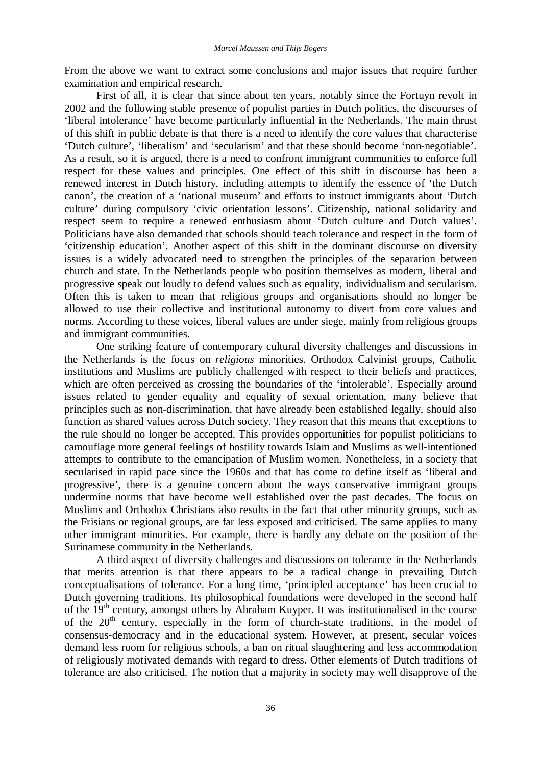From the above we want to extract some conclusions and major issues that require further examination and empirical research.

First of all, it is clear that since about ten years, notably since the Fortuyn revolt in 2002 and the following stable presence of populist parties in Dutch politics, the discourses of 'liberal intolerance' have become particularly influential in the Netherlands. The main thrust of this shift in public debate is that there is a need to identify the core values that characterise 'Dutch culture', 'liberalism' and 'secularism' and that these should become 'non-negotiable'. As a result, so it is argued, there is a need to confront immigrant communities to enforce full respect for these values and principles. One effect of this shift in discourse has been a renewed interest in Dutch history, including attempts to identify the essence of 'the Dutch canon', the creation of a 'national museum' and efforts to instruct immigrants about 'Dutch culture' during compulsory 'civic orientation lessons'. Citizenship, national solidarity and respect seem to require a renewed enthusiasm about 'Dutch culture and Dutch values'. Politicians have also demanded that schools should teach tolerance and respect in the form of 'citizenship education'. Another aspect of this shift in the dominant discourse on diversity issues is a widely advocated need to strengthen the principles of the separation between church and state. In the Netherlands people who position themselves as modern, liberal and progressive speak out loudly to defend values such as equality, individualism and secularism. Often this is taken to mean that religious groups and organisations should no longer be allowed to use their collective and institutional autonomy to divert from core values and norms. According to these voices, liberal values are under siege, mainly from religious groups and immigrant communities.

One striking feature of contemporary cultural diversity challenges and discussions in the Netherlands is the focus on *religious* minorities. Orthodox Calvinist groups, Catholic institutions and Muslims are publicly challenged with respect to their beliefs and practices, which are often perceived as crossing the boundaries of the 'intolerable'. Especially around issues related to gender equality and equality of sexual orientation, many believe that principles such as non-discrimination, that have already been established legally, should also function as shared values across Dutch society. They reason that this means that exceptions to the rule should no longer be accepted. This provides opportunities for populist politicians to camouflage more general feelings of hostility towards Islam and Muslims as well-intentioned attempts to contribute to the emancipation of Muslim women. Nonetheless, in a society that secularised in rapid pace since the 1960s and that has come to define itself as 'liberal and progressive', there is a genuine concern about the ways conservative immigrant groups undermine norms that have become well established over the past decades. The focus on Muslims and Orthodox Christians also results in the fact that other minority groups, such as the Frisians or regional groups, are far less exposed and criticised. The same applies to many other immigrant minorities. For example, there is hardly any debate on the position of the Surinamese community in the Netherlands.

A third aspect of diversity challenges and discussions on tolerance in the Netherlands that merits attention is that there appears to be a radical change in prevailing Dutch conceptualisations of tolerance. For a long time, 'principled acceptance' has been crucial to Dutch governing traditions. Its philosophical foundations were developed in the second half of the  $19<sup>th</sup>$  century, amongst others by Abraham Kuyper. It was institutionalised in the course of the  $20<sup>th</sup>$  century, especially in the form of church-state traditions, in the model of consensus-democracy and in the educational system. However, at present, secular voices demand less room for religious schools, a ban on ritual slaughtering and less accommodation of religiously motivated demands with regard to dress. Other elements of Dutch traditions of tolerance are also criticised. The notion that a majority in society may well disapprove of the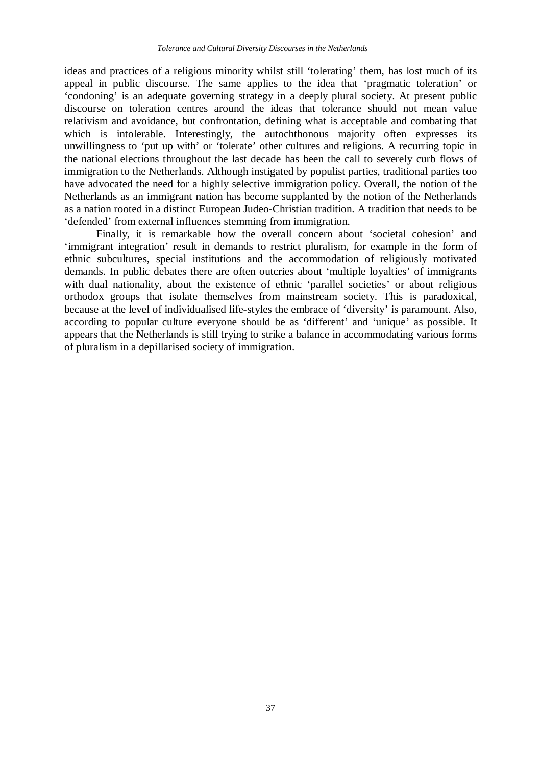ideas and practices of a religious minority whilst still 'tolerating' them, has lost much of its appeal in public discourse. The same applies to the idea that 'pragmatic toleration' or 'condoning' is an adequate governing strategy in a deeply plural society. At present public discourse on toleration centres around the ideas that tolerance should not mean value relativism and avoidance, but confrontation, defining what is acceptable and combating that which is intolerable. Interestingly, the autochthonous majority often expresses its unwillingness to 'put up with' or 'tolerate' other cultures and religions. A recurring topic in the national elections throughout the last decade has been the call to severely curb flows of immigration to the Netherlands. Although instigated by populist parties, traditional parties too have advocated the need for a highly selective immigration policy. Overall, the notion of the Netherlands as an immigrant nation has become supplanted by the notion of the Netherlands as a nation rooted in a distinct European Judeo-Christian tradition. A tradition that needs to be 'defended' from external influences stemming from immigration.

Finally, it is remarkable how the overall concern about 'societal cohesion' and 'immigrant integration' result in demands to restrict pluralism, for example in the form of ethnic subcultures, special institutions and the accommodation of religiously motivated demands. In public debates there are often outcries about 'multiple loyalties' of immigrants with dual nationality, about the existence of ethnic 'parallel societies' or about religious orthodox groups that isolate themselves from mainstream society. This is paradoxical, because at the level of individualised life-styles the embrace of 'diversity' is paramount. Also, according to popular culture everyone should be as 'different' and 'unique' as possible. It appears that the Netherlands is still trying to strike a balance in accommodating various forms of pluralism in a depillarised society of immigration.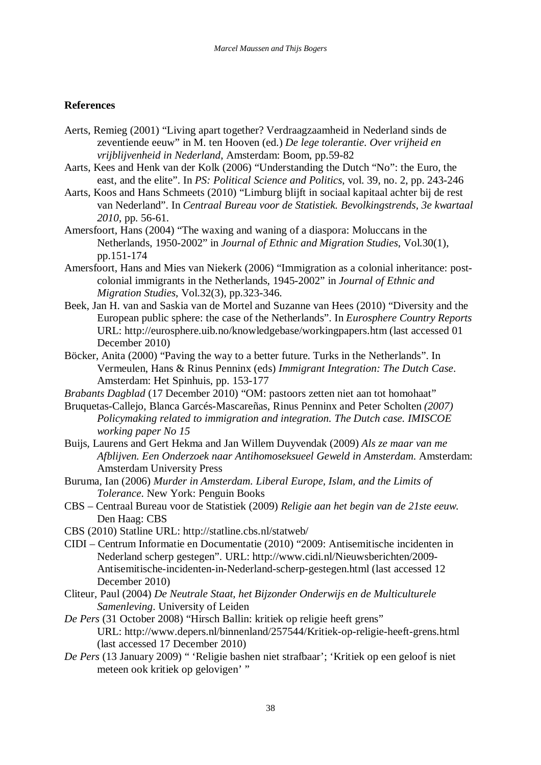# **References**

- Aerts, Remieg (2001) "Living apart together? Verdraagzaamheid in Nederland sinds de zeventiende eeuw" in M. ten Hooven (ed.) *De lege tolerantie*. *Over vrijheid en vrijblijvenheid in Nederland*, Amsterdam: Boom, pp.59-82
- Aarts, Kees and Henk van der Kolk (2006) "Understanding the Dutch "No": the Euro, the east, and the elite". In *PS: Political Science and Politics*, vol. 39, no. 2, pp. 243-246
- Aarts, Koos and Hans Schmeets (2010) "Limburg blijft in sociaal kapitaal achter bij de rest van Nederland". In *Centraal Bureau voor de Statistiek. Bevolkingstrends, 3e kwartaal 2010*, pp. 56-61.
- Amersfoort, Hans (2004) "The waxing and waning of a diaspora: Moluccans in the Netherlands, 1950-2002" in *Journal of Ethnic and Migration Studies*, Vol.30(1), pp.151-174
- Amersfoort, Hans and Mies van Niekerk (2006) "Immigration as a colonial inheritance: postcolonial immigrants in the Netherlands, 1945-2002" in *Journal of Ethnic and Migration Studies*, Vol.32(3), pp.323-346.
- Beek, Jan H. van and Saskia van de Mortel and Suzanne van Hees (2010) "Diversity and the European public sphere: the case of the Netherlands". In *Eurosphere Country Reports* URL: http://eurosphere.uib.no/knowledgebase/workingpapers.htm (last accessed 01 December 2010)
- Böcker, Anita (2000) "Paving the way to a better future. Turks in the Netherlands". In Vermeulen, Hans & Rinus Penninx (eds) *Immigrant Integration: The Dutch Case*. Amsterdam: Het Spinhuis, pp. 153-177
- *Brabants Dagblad* (17 December 2010) "OM: pastoors zetten niet aan tot homohaat"
- Bruquetas-Callejo, Blanca Garcés-Mascareñas, Rinus Penninx and Peter Scholten *(2007) Policymaking related to immigration and integration. The Dutch case. IMISCOE working paper No 15*
- Buijs, Laurens and Gert Hekma and Jan Willem Duyvendak (2009) *Als ze maar van me Afblijven. Een Onderzoek naar Antihomoseksueel Geweld in Amsterdam*. Amsterdam: Amsterdam University Press
- Buruma, Ian (2006) *Murder in Amsterdam. Liberal Europe, Islam, and the Limits of Tolerance*. New York: Penguin Books
- CBS Centraal Bureau voor de Statistiek (2009) *Religie aan het begin van de 21ste eeuw*. Den Haag: CBS
- CBS (2010) Statline URL: http://statline.cbs.nl/statweb/
- CIDI Centrum Informatie en Documentatie (2010) "2009: Antisemitische incidenten in Nederland scherp gestegen". URL: http://www.cidi.nl/Nieuwsberichten/2009- Antisemitische-incidenten-in-Nederland-scherp-gestegen.html (last accessed 12 December 2010)
- Cliteur, Paul (2004) *De Neutrale Staat, het Bijzonder Onderwijs en de Multiculturele Samenleving*. University of Leiden
- *De Pers* (31 October 2008) "Hirsch Ballin: kritiek op religie heeft grens" URL: http://www.depers.nl/binnenland/257544/Kritiek-op-religie-heeft-grens.html (last accessed 17 December 2010)
- *De Pers* (13 January 2009) " 'Religie bashen niet strafbaar'; 'Kritiek op een geloof is niet meteen ook kritiek op gelovigen' "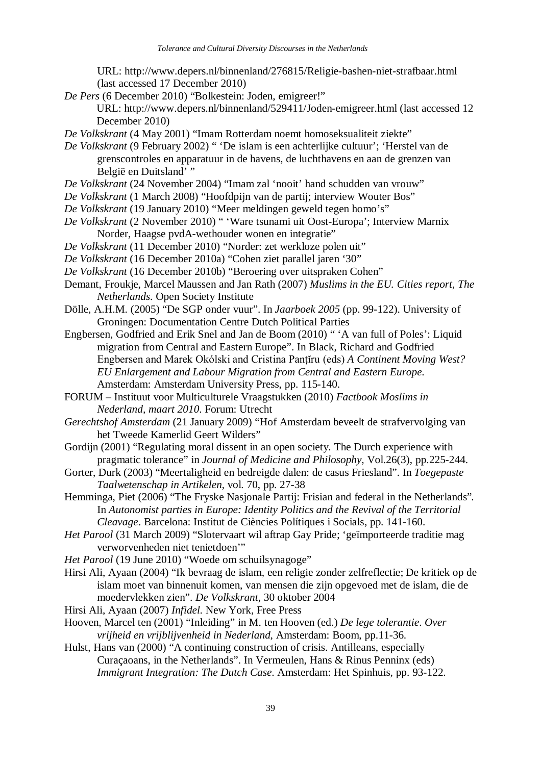URL: http://www.depers.nl/binnenland/276815/Religie-bashen-niet-strafbaar.html (last accessed 17 December 2010)

*De Pers* (6 December 2010) "Bolkestein: Joden, emigreer!"

URL: http://www.depers.nl/binnenland/529411/Joden-emigreer.html (last accessed 12 December 2010)

*De Volkskrant* (4 May 2001) "Imam Rotterdam noemt homoseksualiteit ziekte"

*De Volkskrant* (9 February 2002) " 'De islam is een achterlijke cultuur'; 'Herstel van de grenscontroles en apparatuur in de havens, de luchthavens en aan de grenzen van België en Duitsland'"

- *De Volkskrant* (24 November 2004) "Imam zal 'nooit' hand schudden van vrouw"
- *De Volkskrant* (1 March 2008) "Hoofdpijn van de partij; interview Wouter Bos"
- *De Volkskrant* (19 January 2010) "Meer meldingen geweld tegen homo's"
- *De Volkskrant* (2 November 2010) " 'Ware tsunami uit Oost-Europa'; Interview Marnix Norder, Haagse pvdA-wethouder wonen en integratie"
- *De Volkskrant* (11 December 2010) "Norder: zet werkloze polen uit"
- *De Volkskrant* (16 December 2010a) "Cohen ziet parallel jaren '30"
- *De Volkskrant* (16 December 2010b) "Beroering over uitspraken Cohen"
- Demant, Froukje, Marcel Maussen and Jan Rath (2007) *Muslims in the EU. Cities report, The Netherlands*. Open Society Institute
- Dölle, A.H.M. (2005) "De SGP onder vuur". In *Jaarboek 2005* (pp. 99-122). University of Groningen: Documentation Centre Dutch Political Parties
- Engbersen, Godfried and Erik Snel and Jan de Boom (2010) " 'A van full of Poles': Liquid migration from Central and Eastern Europe". In Black, Richard and Godfried Engbersen and Marek Okólski and Cristina Panţĭru (eds) *A Continent Moving West? EU Enlargement and Labour Migration from Central and Eastern Europe*. Amsterdam: Amsterdam University Press, pp. 115-140.
- FORUM Instituut voor Multiculturele Vraagstukken (2010) *Factbook Moslims in Nederland, maart 2010*. Forum: Utrecht
- *Gerechtshof Amsterdam* (21 January 2009) "Hof Amsterdam beveelt de strafvervolging van het Tweede Kamerlid Geert Wilders"
- Gordijn (2001) "Regulating moral dissent in an open society. The Durch experience with pragmatic tolerance" in *Journal of Medicine and Philosophy*, Vol.26(3), pp.225-244.
- Gorter, Durk (2003) "Meertaligheid en bedreigde dalen: de casus Friesland". In *Toegepaste Taalwetenschap in Artikelen*, vol. 70, pp. 27-38
- Hemminga, Piet (2006) "The Fryske Nasjonale Partij: Frisian and federal in the Netherlands"*.* In *Autonomist parties in Europe: Identity Politics and the Revival of the Territorial Cleavage*. Barcelona: Institut de Ciències Polítiques i Socials, pp. 141-160.
- *Het Parool* (31 March 2009) "Slotervaart wil aftrap Gay Pride; 'geïmporteerde traditie mag verworvenheden niet tenietdoen'"
- *Het Parool* (19 June 2010) "Woede om schuilsynagoge"
- Hirsi Ali, Ayaan (2004) "Ik bevraag de islam, een religie zonder zelfreflectie; De kritiek op de islam moet van binnenuit komen, van mensen die zijn opgevoed met de islam, die de moedervlekken zien". *De Volkskrant*, 30 oktober 2004
- Hirsi Ali, Ayaan (2007) *Infidel*. New York, Free Press
- Hooven, Marcel ten (2001) "Inleiding" in M. ten Hooven (ed.) *De lege tolerantie*. *Over vrijheid en vrijblijvenheid in Nederland*, Amsterdam: Boom, pp.11-36.
- Hulst, Hans van (2000) "A continuing construction of crisis. Antilleans, especially Curaçaoans, in the Netherlands". In Vermeulen, Hans & Rinus Penninx (eds) *Immigrant Integration: The Dutch Case*. Amsterdam: Het Spinhuis, pp. 93-122.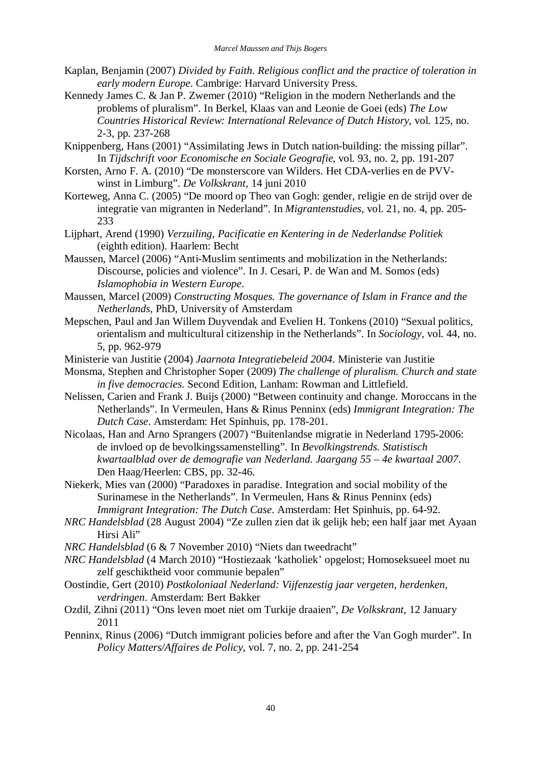- Kaplan, Benjamin (2007) *Divided by Faith. Religious conflict and the practice of toleration in early modern Europe*. Cambrige: Harvard University Press.
- Kennedy James C. & Jan P. Zwemer (2010) "Religion in the modern Netherlands and the problems of pluralism". In Berkel, Klaas van and Leonie de Goei (eds) *The Low Countries Historical Review: International Relevance of Dutch History*, vol. 125, no. 2-3, pp. 237-268
- Knippenberg, Hans (2001) "Assimilating Jews in Dutch nation-building: the missing pillar". In *Tijdschrift voor Economische en Sociale Geografie*, vol. 93, no. 2, pp. 191-207
- Korsten, Arno F. A. (2010) "De monsterscore van Wilders. Het CDA-verlies en de PVVwinst in Limburg". *De Volkskrant*, 14 juni 2010
- Korteweg, Anna C. (2005) "De moord op Theo van Gogh: gender, religie en de strijd over de integratie van migranten in Nederland". In *Migrantenstudies*, vol. 21, no. 4, pp. 205- 233
- Lijphart, Arend (1990) *Verzuiling, Pacificatie en Kentering in de Nederlandse Politiek* (eighth edition). Haarlem: Becht
- Maussen, Marcel (2006) "Anti-Muslim sentiments and mobilization in the Netherlands: Discourse, policies and violence". In J. Cesari, P. de Wan and M. Somos (eds) *Islamophobia in Western Europe*.
- Maussen, Marcel (2009) *Constructing Mosques. The governance of Islam in France and the Netherlands*, PhD, University of Amsterdam
- Mepschen, Paul and Jan Willem Duyvendak and Evelien H. Tonkens (2010) "Sexual politics, orientalism and multicultural citizenship in the Netherlands". In *Sociology*, vol. 44, no. 5, pp. 962-979
- Ministerie van Justitie (2004) *Jaarnota Integratiebeleid 2004*. Ministerie van Justitie
- Monsma, Stephen and Christopher Soper (2009) *The challenge of pluralism. Church and state in five democracies*. Second Edition, Lanham: Rowman and Littlefield.
- Nelissen, Carien and Frank J. Buijs (2000) "Between continuity and change. Moroccans in the Netherlands". In Vermeulen, Hans & Rinus Penninx (eds) *Immigrant Integration: The Dutch Case*. Amsterdam: Het Spinhuis, pp. 178-201.
- Nicolaas, Han and Arno Sprangers (2007) "Buitenlandse migratie in Nederland 1795-2006: de invloed op de bevolkingssamenstelling". In *Bevolkingstrends. Statistisch kwartaalblad over de demografie van Nederland. Jaargang 55 – 4e kwartaal 2007*. Den Haag/Heerlen: CBS, pp. 32-46.
- Niekerk, Mies van (2000) "Paradoxes in paradise. Integration and social mobility of the Surinamese in the Netherlands". In Vermeulen, Hans & Rinus Penninx (eds) *Immigrant Integration: The Dutch Case*. Amsterdam: Het Spinhuis, pp. 64-92.
- *NRC Handelsblad* (28 August 2004) "Ze zullen zien dat ik gelijk heb; een half jaar met Ayaan Hirsi Ali"
- *NRC Handelsblad* (6 & 7 November 2010) "Niets dan tweedracht"
- *NRC Handelsblad* (4 March 2010) "Hostiezaak 'katholiek' opgelost; Homoseksueel moet nu zelf geschiktheid voor communie bepalen"
- Oostindie, Gert (2010) *Postkoloniaal Nederland: Vijfenzestig jaar vergeten, herdenken, verdringen*. Amsterdam: Bert Bakker
- Ozdil, Zihni (2011) "Ons leven moet niet om Turkije draaien", *De Volkskrant*, 12 January 2011
- Penninx, Rinus (2006) "Dutch immigrant policies before and after the Van Gogh murder". In *Policy Matters/Affaires de Policy*, vol. 7, no. 2, pp. 241-254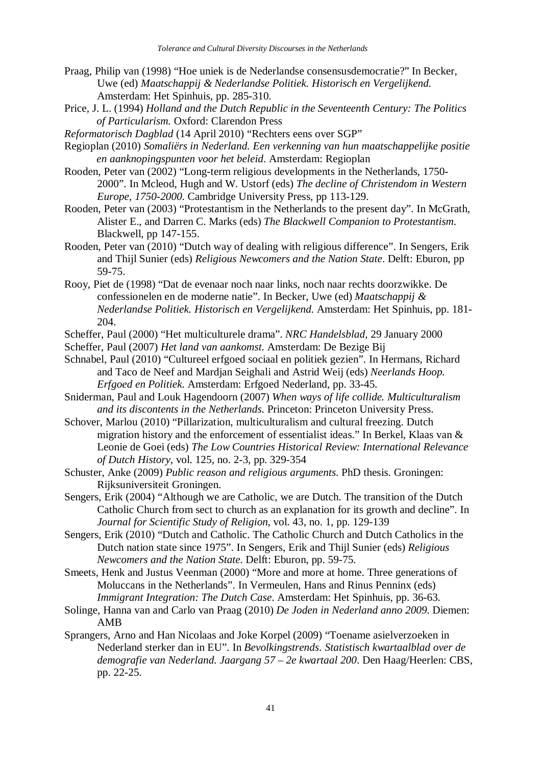- Praag, Philip van (1998) "Hoe uniek is de Nederlandse consensusdemocratie?" In Becker, Uwe (ed) *Maatschappij & Nederlandse Politiek. Historisch en Vergelijkend*. Amsterdam: Het Spinhuis, pp. 285-310.
- Price, J. L. (1994) *Holland and the Dutch Republic in the Seventeenth Century: The Politics of Particularism.* Oxford: Clarendon Press
- *Reformatorisch Dagblad* (14 April 2010) "Rechters eens over SGP"
- Regioplan (2010) *Somaliërs in Nederland. Een verkenning van hun maatschappelijke positie en aanknopingspunten voor het beleid*. Amsterdam: Regioplan
- Rooden, Peter van (2002) "Long-term religious developments in the Netherlands, 1750- 2000". In Mcleod, Hugh and W. Ustorf (eds) *The decline of Christendom in Western Europe, 1750-2000*. Cambridge University Press, pp 113-129.
- Rooden, Peter van (2003) "Protestantism in the Netherlands to the present day". In McGrath, Alister E., and Darren C. Marks (eds) *The Blackwell Companion to Protestantism*. Blackwell, pp 147-155.
- Rooden, Peter van (2010) "Dutch way of dealing with religious difference". In Sengers, Erik and Thijl Sunier (eds) *Religious Newcomers and the Nation State*. Delft: Eburon, pp 59-75.
- Rooy, Piet de (1998) "Dat de evenaar noch naar links, noch naar rechts doorzwikke. De confessionelen en de moderne natie". In Becker, Uwe (ed) *Maatschappij & Nederlandse Politiek. Historisch en Vergelijkend*. Amsterdam: Het Spinhuis, pp. 181- 204.
- Scheffer, Paul (2000) "Het multiculturele drama". *NRC Handelsblad*, 29 January 2000
- Scheffer, Paul (2007) *Het land van aankomst*. Amsterdam: De Bezige Bij
- Schnabel, Paul (2010) "Cultureel erfgoed sociaal en politiek gezien". In Hermans, Richard and Taco de Neef and Mardjan Seighali and Astrid Weij (eds) *Neerlands Hoop. Erfgoed en Politiek*. Amsterdam: Erfgoed Nederland, pp. 33-45.
- Sniderman, Paul and Louk Hagendoorn (2007) *When ways of life collide. Multiculturalism and its discontents in the Netherlands*. Princeton: Princeton University Press.
- Schover, Marlou (2010) "Pillarization, multiculturalism and cultural freezing. Dutch migration history and the enforcement of essentialist ideas." In Berkel, Klaas van & Leonie de Goei (eds) *The Low Countries Historical Review: International Relevance of Dutch History*, vol. 125, no. 2-3, pp. 329-354
- Schuster, Anke (2009) *Public reason and religious arguments*. PhD thesis. Groningen: Rijksuniversiteit Groningen.
- Sengers, Erik (2004) "Although we are Catholic, we are Dutch. The transition of the Dutch Catholic Church from sect to church as an explanation for its growth and decline". In *Journal for Scientific Study of Religion*, vol. 43, no. 1, pp. 129-139
- Sengers, Erik (2010) "Dutch and Catholic. The Catholic Church and Dutch Catholics in the Dutch nation state since 1975". In Sengers, Erik and Thijl Sunier (eds) *Religious Newcomers and the Nation State*. Delft: Eburon, pp. 59-75.
- Smeets, Henk and Justus Veenman (2000) "More and more at home. Three generations of Moluccans in the Netherlands". In Vermeulen, Hans and Rinus Penninx (eds) *Immigrant Integration: The Dutch Case*. Amsterdam: Het Spinhuis, pp. 36-63.
- Solinge, Hanna van and Carlo van Praag (2010) *De Joden in Nederland anno 2009*. Diemen: AMB
- Sprangers, Arno and Han Nicolaas and Joke Korpel (2009) "Toename asielverzoeken in Nederland sterker dan in EU". In *Bevolkingstrends. Statistisch kwartaalblad over de demografie van Nederland. Jaargang 57 – 2e kwartaal 200*. Den Haag/Heerlen: CBS, pp. 22-25.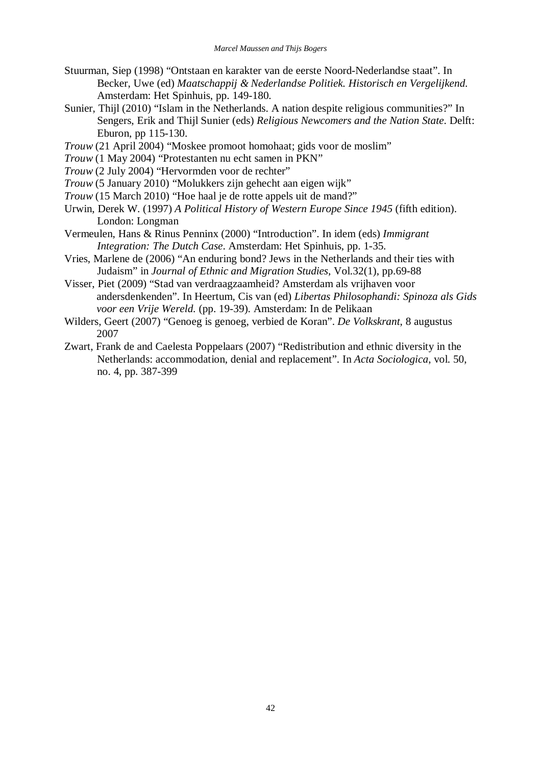- Stuurman, Siep (1998) "Ontstaan en karakter van de eerste Noord-Nederlandse staat". In Becker, Uwe (ed) *Maatschappij & Nederlandse Politiek. Historisch en Vergelijkend*. Amsterdam: Het Spinhuis, pp. 149-180.
- Sunier, Thijl (2010) "Islam in the Netherlands. A nation despite religious communities?" In Sengers, Erik and Thijl Sunier (eds) *Religious Newcomers and the Nation State*. Delft: Eburon, pp 115-130.
- *Trouw* (21 April 2004) "Moskee promoot homohaat; gids voor de moslim"
- *Trouw* (1 May 2004) "Protestanten nu echt samen in PKN"
- *Trouw* (2 July 2004) "Hervormden voor de rechter"
- *Trouw* (5 January 2010) "Molukkers zijn gehecht aan eigen wijk"
- *Trouw* (15 March 2010) "Hoe haal je de rotte appels uit de mand?"
- Urwin, Derek W. (1997) *A Political History of Western Europe Since 1945* (fifth edition). London: Longman
- Vermeulen, Hans & Rinus Penninx (2000) "Introduction". In idem (eds) *Immigrant Integration: The Dutch Case*. Amsterdam: Het Spinhuis, pp. 1-35.
- Vries, Marlene de (2006) "An enduring bond? Jews in the Netherlands and their ties with Judaism" in *Journal of Ethnic and Migration Studies*, Vol.32(1), pp.69-88
- Visser, Piet (2009) "Stad van verdraagzaamheid? Amsterdam als vrijhaven voor andersdenkenden". In Heertum, Cis van (ed) *Libertas Philosophandi: Spinoza als Gids voor een Vrije Wereld.* (pp. 19-39). Amsterdam: In de Pelikaan
- Wilders, Geert (2007) "Genoeg is genoeg, verbied de Koran". *De Volkskrant*, 8 augustus 2007
- Zwart, Frank de and Caelesta Poppelaars (2007) "Redistribution and ethnic diversity in the Netherlands: accommodation, denial and replacement". In *Acta Sociologica*, vol. 50, no. 4, pp. 387-399